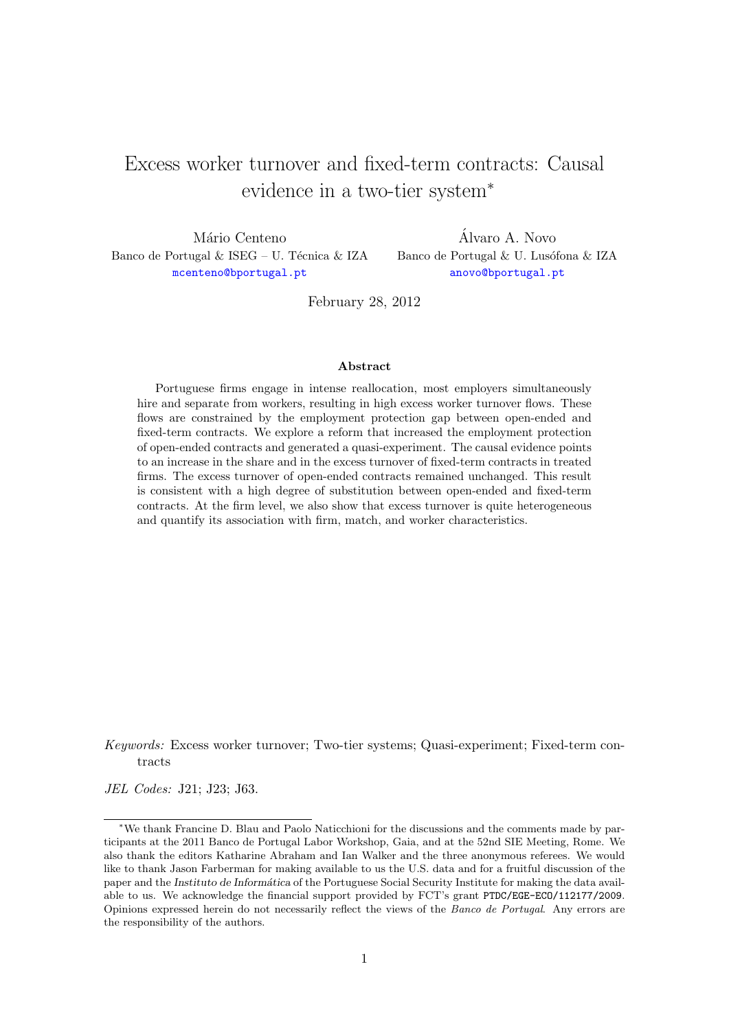# Excess worker turnover and fixed-term contracts: Causal evidence in a two-tier system<sup>∗</sup>

Mário Centeno Banco de Portugal & ISEG – U. Técnica & IZA [mcenteno@bportugal.pt](mailto:mcenteno@bportugal.pt)

Alvaro A. Novo ´ Banco de Portugal & U. Lusófona & IZA [anovo@bportugal.pt](mailto:anovo@bportugal.pt)

February 28, 2012

#### Abstract

Portuguese firms engage in intense reallocation, most employers simultaneously hire and separate from workers, resulting in high excess worker turnover flows. These flows are constrained by the employment protection gap between open-ended and fixed-term contracts. We explore a reform that increased the employment protection of open-ended contracts and generated a quasi-experiment. The causal evidence points to an increase in the share and in the excess turnover of fixed-term contracts in treated firms. The excess turnover of open-ended contracts remained unchanged. This result is consistent with a high degree of substitution between open-ended and fixed-term contracts. At the firm level, we also show that excess turnover is quite heterogeneous and quantify its association with firm, match, and worker characteristics.

Keywords: Excess worker turnover; Two-tier systems; Quasi-experiment; Fixed-term contracts

JEL Codes: J21; J23; J63.

<sup>∗</sup>We thank Francine D. Blau and Paolo Naticchioni for the discussions and the comments made by participants at the 2011 Banco de Portugal Labor Workshop, Gaia, and at the 52nd SIE Meeting, Rome. We also thank the editors Katharine Abraham and Ian Walker and the three anonymous referees. We would like to thank Jason Farberman for making available to us the U.S. data and for a fruitful discussion of the paper and the Instituto de Informática of the Portuguese Social Security Institute for making the data available to us. We acknowledge the financial support provided by FCT's grant PTDC/EGE-ECO/112177/2009. Opinions expressed herein do not necessarily reflect the views of the Banco de Portugal. Any errors are the responsibility of the authors.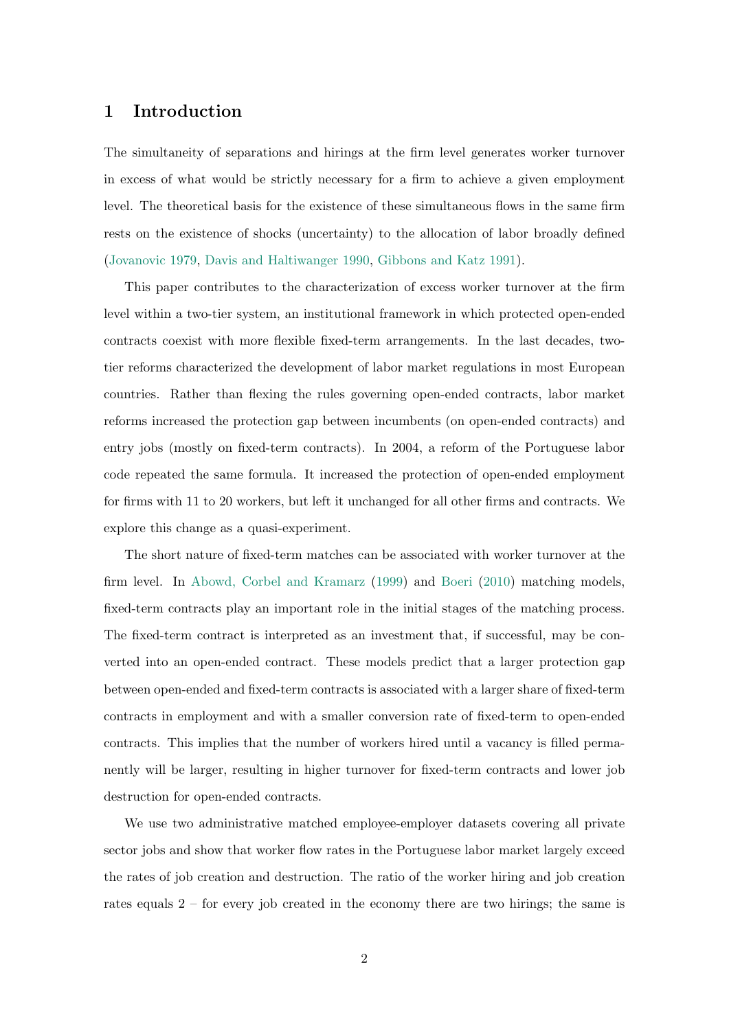## 1 Introduction

The simultaneity of separations and hirings at the firm level generates worker turnover in excess of what would be strictly necessary for a firm to achieve a given employment level. The theoretical basis for the existence of these simultaneous flows in the same firm rests on the existence of shocks (uncertainty) to the allocation of labor broadly defined [\(Jovanovic](#page-19-0) [1979,](#page-19-0) [Davis and Haltiwanger](#page-18-0) [1990,](#page-18-0) [Gibbons and Katz](#page-19-1) [1991\)](#page-19-1).

This paper contributes to the characterization of excess worker turnover at the firm level within a two-tier system, an institutional framework in which protected open-ended contracts coexist with more flexible fixed-term arrangements. In the last decades, twotier reforms characterized the development of labor market regulations in most European countries. Rather than flexing the rules governing open-ended contracts, labor market reforms increased the protection gap between incumbents (on open-ended contracts) and entry jobs (mostly on fixed-term contracts). In 2004, a reform of the Portuguese labor code repeated the same formula. It increased the protection of open-ended employment for firms with 11 to 20 workers, but left it unchanged for all other firms and contracts. We explore this change as a quasi-experiment.

The short nature of fixed-term matches can be associated with worker turnover at the firm level. In [Abowd, Corbel and Kramarz](#page-17-0) [\(1999\)](#page-17-0) and [Boeri](#page-18-1) [\(2010\)](#page-18-1) matching models, fixed-term contracts play an important role in the initial stages of the matching process. The fixed-term contract is interpreted as an investment that, if successful, may be converted into an open-ended contract. These models predict that a larger protection gap between open-ended and fixed-term contracts is associated with a larger share of fixed-term contracts in employment and with a smaller conversion rate of fixed-term to open-ended contracts. This implies that the number of workers hired until a vacancy is filled permanently will be larger, resulting in higher turnover for fixed-term contracts and lower job destruction for open-ended contracts.

We use two administrative matched employee-employer datasets covering all private sector jobs and show that worker flow rates in the Portuguese labor market largely exceed the rates of job creation and destruction. The ratio of the worker hiring and job creation rates equals  $2$  – for every job created in the economy there are two hirings; the same is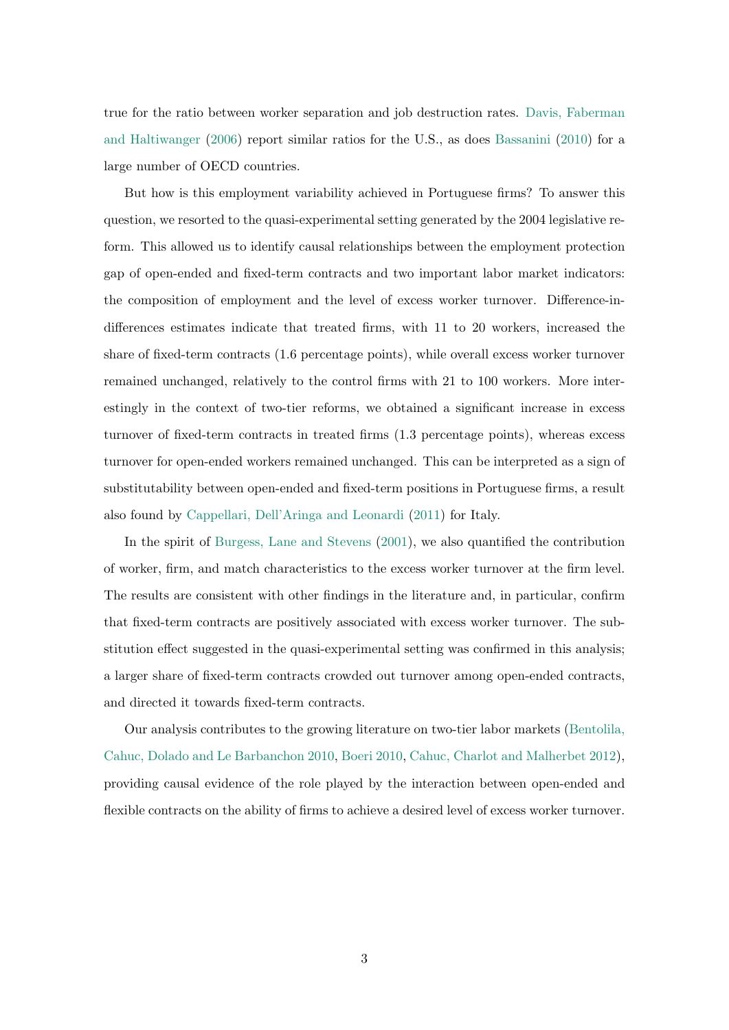true for the ratio between worker separation and job destruction rates. [Davis, Faberman](#page-18-2) [and Haltiwanger](#page-18-2) [\(2006\)](#page-18-2) report similar ratios for the U.S., as does [Bassanini](#page-17-1) [\(2010\)](#page-17-1) for a large number of OECD countries.

But how is this employment variability achieved in Portuguese firms? To answer this question, we resorted to the quasi-experimental setting generated by the 2004 legislative reform. This allowed us to identify causal relationships between the employment protection gap of open-ended and fixed-term contracts and two important labor market indicators: the composition of employment and the level of excess worker turnover. Difference-indifferences estimates indicate that treated firms, with 11 to 20 workers, increased the share of fixed-term contracts (1.6 percentage points), while overall excess worker turnover remained unchanged, relatively to the control firms with 21 to 100 workers. More interestingly in the context of two-tier reforms, we obtained a significant increase in excess turnover of fixed-term contracts in treated firms (1.3 percentage points), whereas excess turnover for open-ended workers remained unchanged. This can be interpreted as a sign of substitutability between open-ended and fixed-term positions in Portuguese firms, a result also found by [Cappellari, Dell'Aringa and Leonardi](#page-18-3) [\(2011\)](#page-18-3) for Italy.

In the spirit of [Burgess, Lane and Stevens](#page-18-4) [\(2001\)](#page-18-4), we also quantified the contribution of worker, firm, and match characteristics to the excess worker turnover at the firm level. The results are consistent with other findings in the literature and, in particular, confirm that fixed-term contracts are positively associated with excess worker turnover. The substitution effect suggested in the quasi-experimental setting was confirmed in this analysis; a larger share of fixed-term contracts crowded out turnover among open-ended contracts, and directed it towards fixed-term contracts.

Our analysis contributes to the growing literature on two-tier labor markets [\(Bentolila,](#page-17-2) [Cahuc, Dolado and Le Barbanchon](#page-17-2) [2010,](#page-17-2) [Boeri](#page-18-1) [2010,](#page-18-1) [Cahuc, Charlot and Malherbet](#page-18-5) [2012\)](#page-18-5), providing causal evidence of the role played by the interaction between open-ended and flexible contracts on the ability of firms to achieve a desired level of excess worker turnover.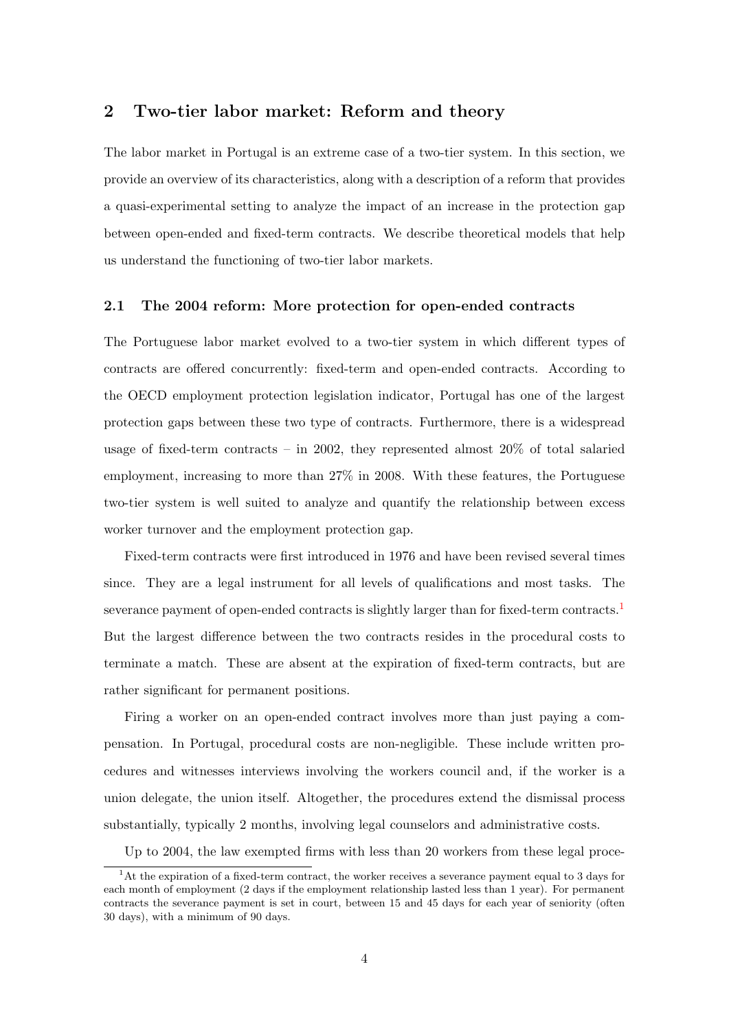## 2 Two-tier labor market: Reform and theory

The labor market in Portugal is an extreme case of a two-tier system. In this section, we provide an overview of its characteristics, along with a description of a reform that provides a quasi-experimental setting to analyze the impact of an increase in the protection gap between open-ended and fixed-term contracts. We describe theoretical models that help us understand the functioning of two-tier labor markets.

#### <span id="page-3-1"></span>2.1 The 2004 reform: More protection for open-ended contracts

The Portuguese labor market evolved to a two-tier system in which different types of contracts are offered concurrently: fixed-term and open-ended contracts. According to the OECD employment protection legislation indicator, Portugal has one of the largest protection gaps between these two type of contracts. Furthermore, there is a widespread usage of fixed-term contracts – in 2002, they represented almost 20% of total salaried employment, increasing to more than 27% in 2008. With these features, the Portuguese two-tier system is well suited to analyze and quantify the relationship between excess worker turnover and the employment protection gap.

Fixed-term contracts were first introduced in 1976 and have been revised several times since. They are a legal instrument for all levels of qualifications and most tasks. The severance payment of open-ended contracts is slightly larger than for fixed-term contracts.<sup>[1](#page-3-0)</sup> But the largest difference between the two contracts resides in the procedural costs to terminate a match. These are absent at the expiration of fixed-term contracts, but are rather significant for permanent positions.

Firing a worker on an open-ended contract involves more than just paying a compensation. In Portugal, procedural costs are non-negligible. These include written procedures and witnesses interviews involving the workers council and, if the worker is a union delegate, the union itself. Altogether, the procedures extend the dismissal process substantially, typically 2 months, involving legal counselors and administrative costs.

<span id="page-3-0"></span>Up to 2004, the law exempted firms with less than 20 workers from these legal proce-

<sup>&</sup>lt;sup>1</sup>At the expiration of a fixed-term contract, the worker receives a severance payment equal to 3 days for each month of employment (2 days if the employment relationship lasted less than 1 year). For permanent contracts the severance payment is set in court, between 15 and 45 days for each year of seniority (often 30 days), with a minimum of 90 days.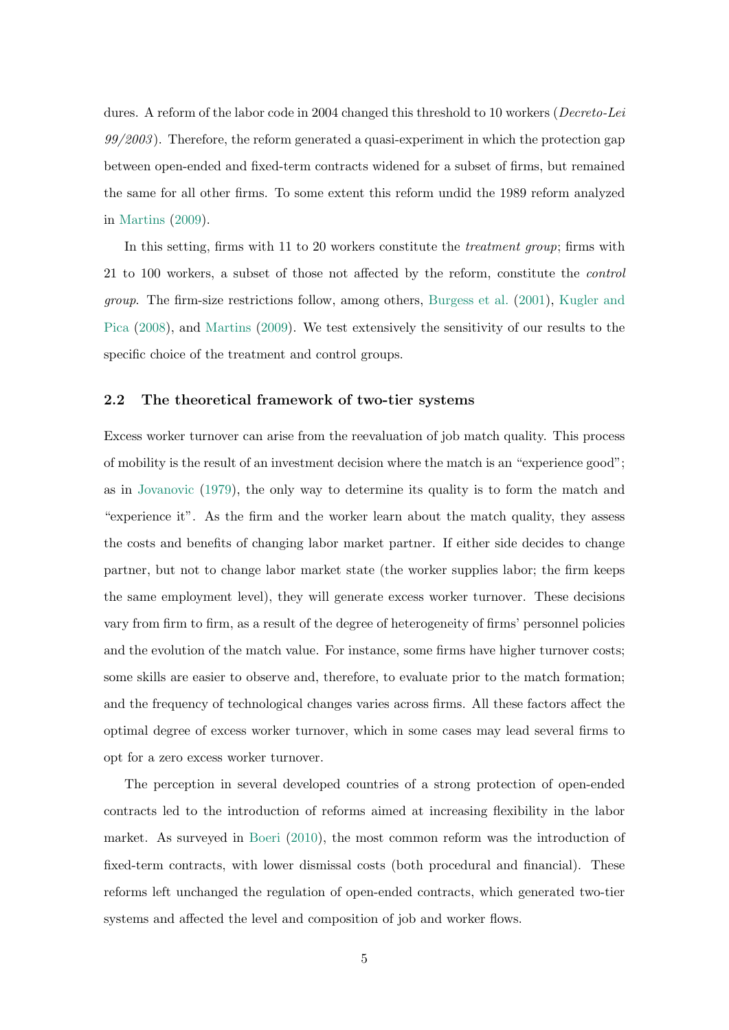dures. A reform of the labor code in 2004 changed this threshold to 10 workers (Decreto-Lei  $99/2003$ ). Therefore, the reform generated a quasi-experiment in which the protection gap between open-ended and fixed-term contracts widened for a subset of firms, but remained the same for all other firms. To some extent this reform undid the 1989 reform analyzed in [Martins](#page-19-2) [\(2009\)](#page-19-2).

In this setting, firms with 11 to 20 workers constitute the *treatment group*; firms with 21 to 100 workers, a subset of those not affected by the reform, constitute the control group. The firm-size restrictions follow, among others, [Burgess et al.](#page-18-4) [\(2001\)](#page-18-4), [Kugler and](#page-19-3) [Pica](#page-19-3) [\(2008\)](#page-19-3), and [Martins](#page-19-2) [\(2009\)](#page-19-2). We test extensively the sensitivity of our results to the specific choice of the treatment and control groups.

#### 2.2 The theoretical framework of two-tier systems

Excess worker turnover can arise from the reevaluation of job match quality. This process of mobility is the result of an investment decision where the match is an "experience good"; as in [Jovanovic](#page-19-0) [\(1979\)](#page-19-0), the only way to determine its quality is to form the match and "experience it". As the firm and the worker learn about the match quality, they assess the costs and benefits of changing labor market partner. If either side decides to change partner, but not to change labor market state (the worker supplies labor; the firm keeps the same employment level), they will generate excess worker turnover. These decisions vary from firm to firm, as a result of the degree of heterogeneity of firms' personnel policies and the evolution of the match value. For instance, some firms have higher turnover costs; some skills are easier to observe and, therefore, to evaluate prior to the match formation; and the frequency of technological changes varies across firms. All these factors affect the optimal degree of excess worker turnover, which in some cases may lead several firms to opt for a zero excess worker turnover.

The perception in several developed countries of a strong protection of open-ended contracts led to the introduction of reforms aimed at increasing flexibility in the labor market. As surveyed in [Boeri](#page-18-1) [\(2010\)](#page-18-1), the most common reform was the introduction of fixed-term contracts, with lower dismissal costs (both procedural and financial). These reforms left unchanged the regulation of open-ended contracts, which generated two-tier systems and affected the level and composition of job and worker flows.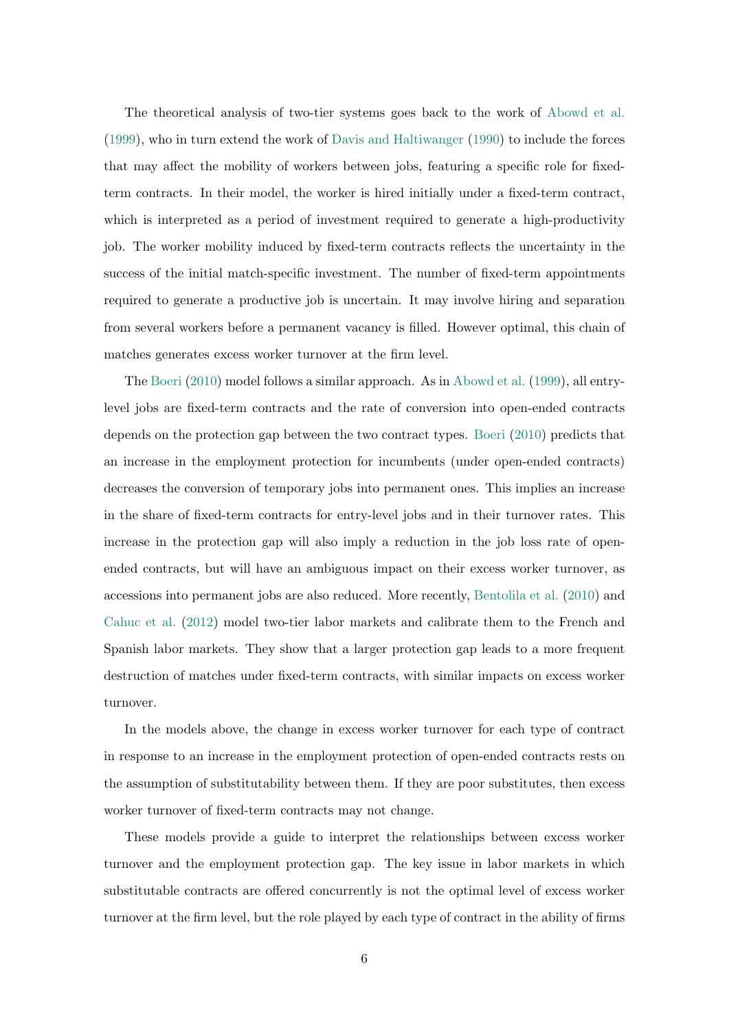The theoretical analysis of two-tier systems goes back to the work of [Abowd et al.](#page-17-0) [\(1999\)](#page-17-0), who in turn extend the work of [Davis and Haltiwanger](#page-18-0) [\(1990\)](#page-18-0) to include the forces that may affect the mobility of workers between jobs, featuring a specific role for fixedterm contracts. In their model, the worker is hired initially under a fixed-term contract, which is interpreted as a period of investment required to generate a high-productivity job. The worker mobility induced by fixed-term contracts reflects the uncertainty in the success of the initial match-specific investment. The number of fixed-term appointments required to generate a productive job is uncertain. It may involve hiring and separation from several workers before a permanent vacancy is filled. However optimal, this chain of matches generates excess worker turnover at the firm level.

The [Boeri](#page-18-1) [\(2010\)](#page-18-1) model follows a similar approach. As in [Abowd et al.](#page-17-0) [\(1999\)](#page-17-0), all entrylevel jobs are fixed-term contracts and the rate of conversion into open-ended contracts depends on the protection gap between the two contract types. [Boeri](#page-18-1) [\(2010\)](#page-18-1) predicts that an increase in the employment protection for incumbents (under open-ended contracts) decreases the conversion of temporary jobs into permanent ones. This implies an increase in the share of fixed-term contracts for entry-level jobs and in their turnover rates. This increase in the protection gap will also imply a reduction in the job loss rate of openended contracts, but will have an ambiguous impact on their excess worker turnover, as accessions into permanent jobs are also reduced. More recently, [Bentolila et al.](#page-17-2) [\(2010\)](#page-17-2) and [Cahuc et al.](#page-18-5) [\(2012\)](#page-18-5) model two-tier labor markets and calibrate them to the French and Spanish labor markets. They show that a larger protection gap leads to a more frequent destruction of matches under fixed-term contracts, with similar impacts on excess worker turnover.

In the models above, the change in excess worker turnover for each type of contract in response to an increase in the employment protection of open-ended contracts rests on the assumption of substitutability between them. If they are poor substitutes, then excess worker turnover of fixed-term contracts may not change.

These models provide a guide to interpret the relationships between excess worker turnover and the employment protection gap. The key issue in labor markets in which substitutable contracts are offered concurrently is not the optimal level of excess worker turnover at the firm level, but the role played by each type of contract in the ability of firms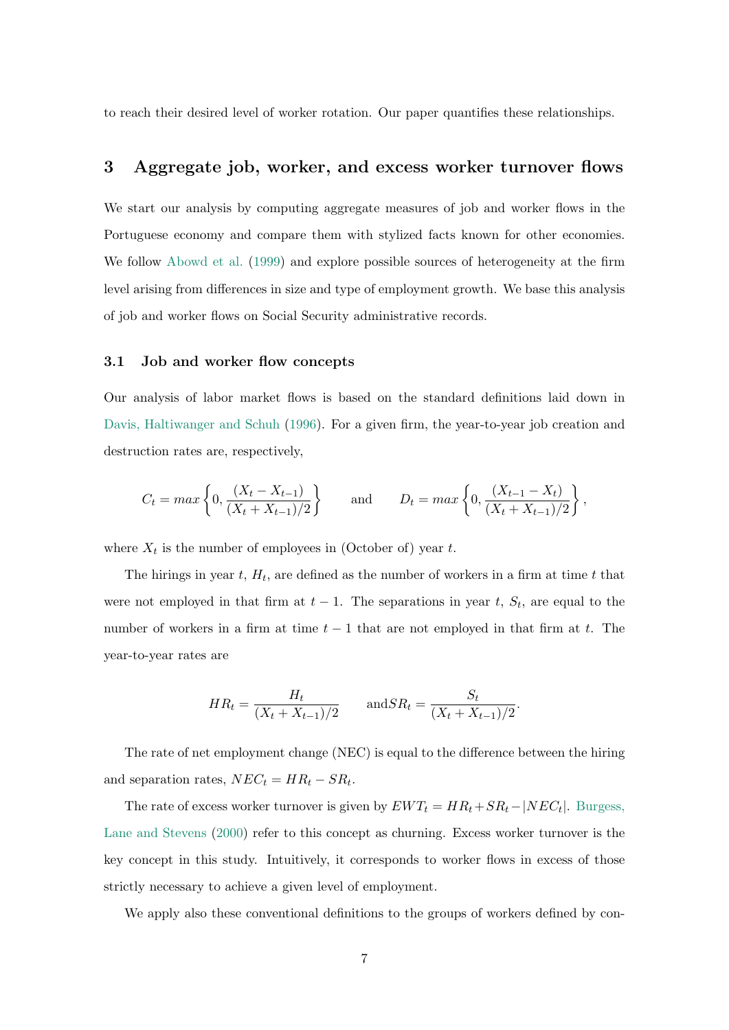to reach their desired level of worker rotation. Our paper quantifies these relationships.

## 3 Aggregate job, worker, and excess worker turnover flows

We start our analysis by computing aggregate measures of job and worker flows in the Portuguese economy and compare them with stylized facts known for other economies. We follow [Abowd et al.](#page-17-0) [\(1999\)](#page-17-0) and explore possible sources of heterogeneity at the firm level arising from differences in size and type of employment growth. We base this analysis of job and worker flows on Social Security administrative records.

#### 3.1 Job and worker flow concepts

Our analysis of labor market flows is based on the standard definitions laid down in [Davis, Haltiwanger and Schuh](#page-18-6) [\(1996\)](#page-18-6). For a given firm, the year-to-year job creation and destruction rates are, respectively,

$$
C_t = max \left\{ 0, \frac{(X_t - X_{t-1})}{(X_t + X_{t-1})/2} \right\}
$$
 and  $D_t = max \left\{ 0, \frac{(X_{t-1} - X_t)}{(X_t + X_{t-1})/2} \right\}$ ,

where  $X_t$  is the number of employees in (October of) year t.

The hirings in year  $t$ ,  $H_t$ , are defined as the number of workers in a firm at time  $t$  that were not employed in that firm at  $t-1$ . The separations in year t,  $S_t$ , are equal to the number of workers in a firm at time  $t - 1$  that are not employed in that firm at t. The year-to-year rates are

$$
HR_t = \frac{H_t}{(X_t + X_{t-1})/2} \quad \text{and} SR_t = \frac{S_t}{(X_t + X_{t-1})/2}.
$$

The rate of net employment change (NEC) is equal to the difference between the hiring and separation rates,  $NEC_t = HR_t - SR_t$ .

The rate of excess worker turnover is given by  $EWT_t = HR_t + SR_t - |NEC_t|$ . [Burgess,](#page-18-7) [Lane and Stevens](#page-18-7) [\(2000\)](#page-18-7) refer to this concept as churning. Excess worker turnover is the key concept in this study. Intuitively, it corresponds to worker flows in excess of those strictly necessary to achieve a given level of employment.

We apply also these conventional definitions to the groups of workers defined by con-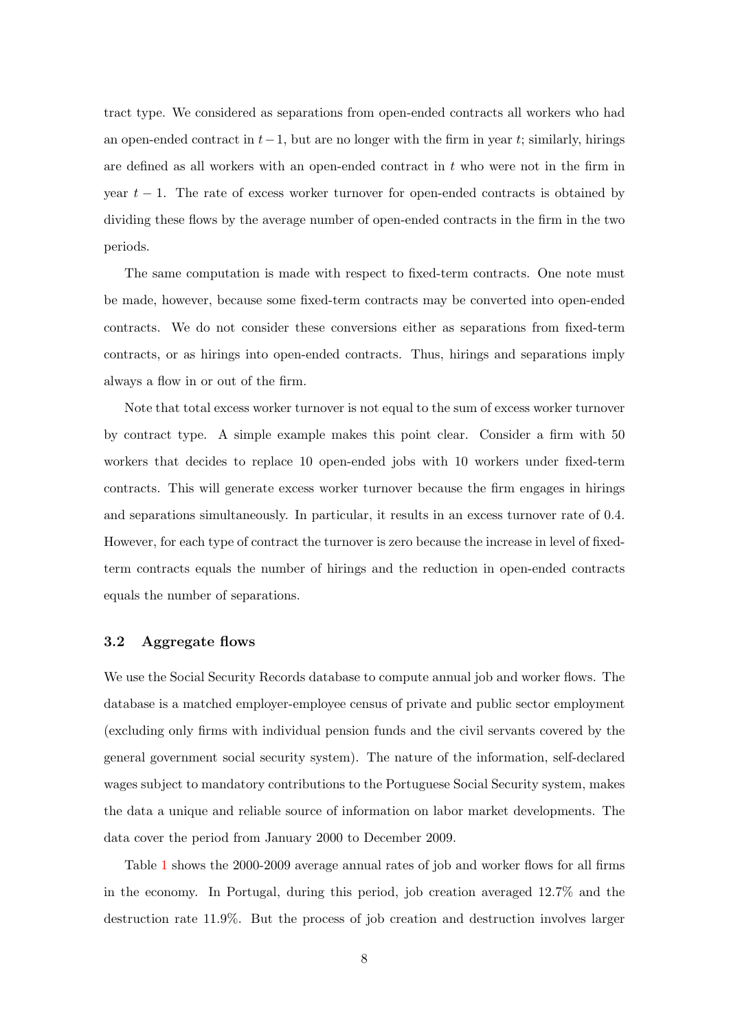tract type. We considered as separations from open-ended contracts all workers who had an open-ended contract in  $t-1$ , but are no longer with the firm in year t; similarly, hirings are defined as all workers with an open-ended contract in  $t$  who were not in the firm in year  $t - 1$ . The rate of excess worker turnover for open-ended contracts is obtained by dividing these flows by the average number of open-ended contracts in the firm in the two periods.

The same computation is made with respect to fixed-term contracts. One note must be made, however, because some fixed-term contracts may be converted into open-ended contracts. We do not consider these conversions either as separations from fixed-term contracts, or as hirings into open-ended contracts. Thus, hirings and separations imply always a flow in or out of the firm.

Note that total excess worker turnover is not equal to the sum of excess worker turnover by contract type. A simple example makes this point clear. Consider a firm with 50 workers that decides to replace 10 open-ended jobs with 10 workers under fixed-term contracts. This will generate excess worker turnover because the firm engages in hirings and separations simultaneously. In particular, it results in an excess turnover rate of 0.4. However, for each type of contract the turnover is zero because the increase in level of fixedterm contracts equals the number of hirings and the reduction in open-ended contracts equals the number of separations.

#### 3.2 Aggregate flows

We use the Social Security Records database to compute annual job and worker flows. The database is a matched employer-employee census of private and public sector employment (excluding only firms with individual pension funds and the civil servants covered by the general government social security system). The nature of the information, self-declared wages subject to mandatory contributions to the Portuguese Social Security system, makes the data a unique and reliable source of information on labor market developments. The data cover the period from January 2000 to December 2009.

Table [1](#page-20-0) shows the 2000-2009 average annual rates of job and worker flows for all firms in the economy. In Portugal, during this period, job creation averaged 12.7% and the destruction rate 11.9%. But the process of job creation and destruction involves larger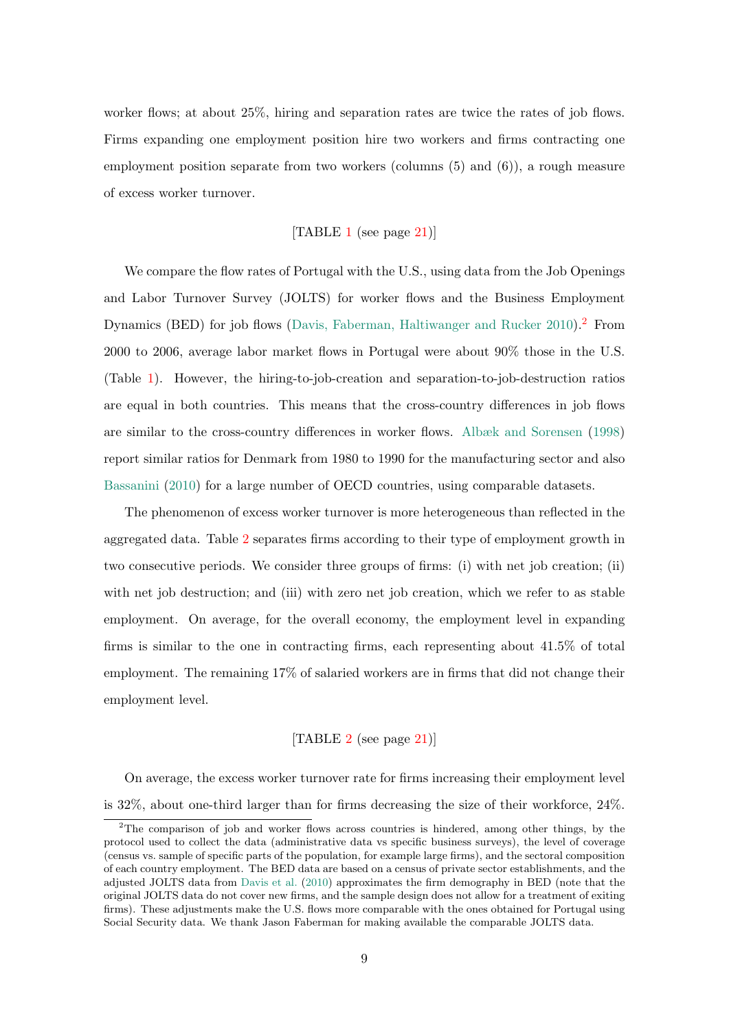worker flows; at about 25%, hiring and separation rates are twice the rates of job flows. Firms expanding one employment position hire two workers and firms contracting one employment position separate from two workers (columns (5) and (6)), a rough measure of excess worker turnover.

#### [TABLE [1](#page-20-0) (see page [21\)](#page-20-0)]

We compare the flow rates of Portugal with the U.S., using data from the Job Openings and Labor Turnover Survey (JOLTS) for worker flows and the Business Employment Dynamics (BED) for job flows [\(Davis, Faberman, Haltiwanger and Rucker](#page-18-8) [2010\)](#page-18-8).<sup>[2](#page-8-0)</sup> From 2000 to 2006, average labor market flows in Portugal were about 90% those in the U.S. (Table [1\)](#page-20-0). However, the hiring-to-job-creation and separation-to-job-destruction ratios are equal in both countries. This means that the cross-country differences in job flows are similar to the cross-country differences in worker flows. [Albæk and Sorensen](#page-17-3) [\(1998\)](#page-17-3) report similar ratios for Denmark from 1980 to 1990 for the manufacturing sector and also [Bassanini](#page-17-1) [\(2010\)](#page-17-1) for a large number of OECD countries, using comparable datasets.

The phenomenon of excess worker turnover is more heterogeneous than reflected in the aggregated data. Table [2](#page-20-1) separates firms according to their type of employment growth in two consecutive periods. We consider three groups of firms: (i) with net job creation; (ii) with net job destruction; and (iii) with zero net job creation, which we refer to as stable employment. On average, for the overall economy, the employment level in expanding firms is similar to the one in contracting firms, each representing about 41.5% of total employment. The remaining 17% of salaried workers are in firms that did not change their employment level.

#### [TABLE [2](#page-20-1) (see page [21\)](#page-20-1)]

On average, the excess worker turnover rate for firms increasing their employment level is 32%, about one-third larger than for firms decreasing the size of their workforce, 24%.

<span id="page-8-0"></span><sup>&</sup>lt;sup>2</sup>The comparison of job and worker flows across countries is hindered, among other things, by the protocol used to collect the data (administrative data vs specific business surveys), the level of coverage (census vs. sample of specific parts of the population, for example large firms), and the sectoral composition of each country employment. The BED data are based on a census of private sector establishments, and the adjusted JOLTS data from [Davis et al.](#page-18-8) [\(2010\)](#page-18-8) approximates the firm demography in BED (note that the original JOLTS data do not cover new firms, and the sample design does not allow for a treatment of exiting firms). These adjustments make the U.S. flows more comparable with the ones obtained for Portugal using Social Security data. We thank Jason Faberman for making available the comparable JOLTS data.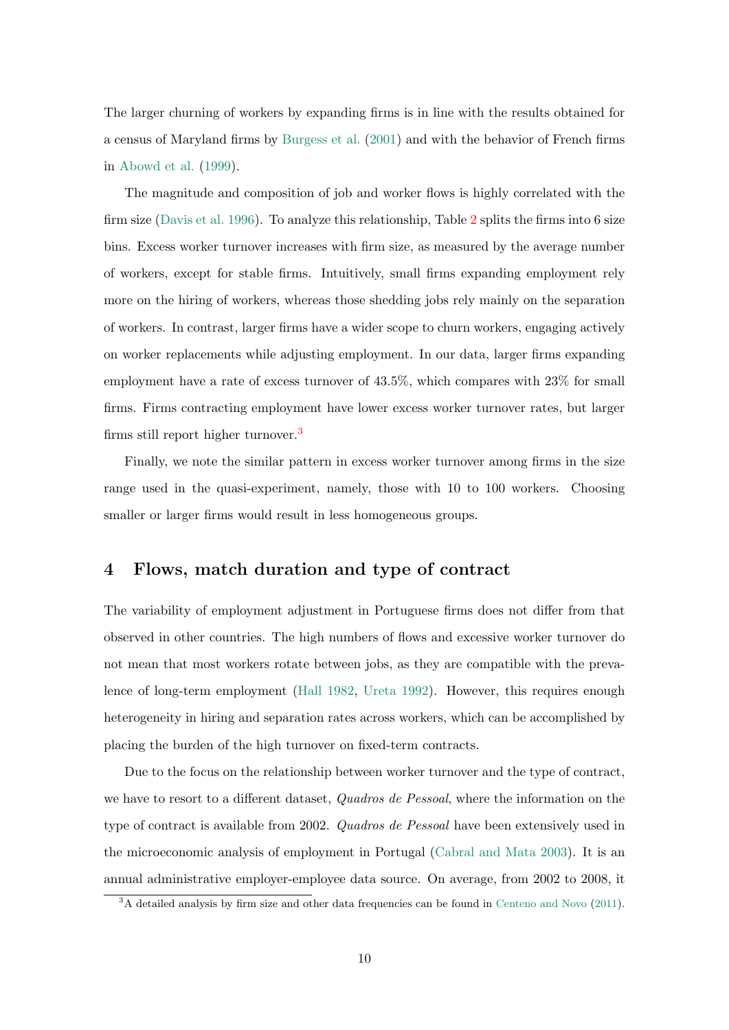The larger churning of workers by expanding firms is in line with the results obtained for a census of Maryland firms by [Burgess et al.](#page-18-4) [\(2001\)](#page-18-4) and with the behavior of French firms in [Abowd et al.](#page-17-0) [\(1999\)](#page-17-0).

The magnitude and composition of job and worker flows is highly correlated with the firm size [\(Davis et al.](#page-18-6) [1996\)](#page-18-6). To analyze this relationship, Table [2](#page-20-1) splits the firms into 6 size bins. Excess worker turnover increases with firm size, as measured by the average number of workers, except for stable firms. Intuitively, small firms expanding employment rely more on the hiring of workers, whereas those shedding jobs rely mainly on the separation of workers. In contrast, larger firms have a wider scope to churn workers, engaging actively on worker replacements while adjusting employment. In our data, larger firms expanding employment have a rate of excess turnover of 43.5%, which compares with 23% for small firms. Firms contracting employment have lower excess worker turnover rates, but larger firms still report higher turnover.[3](#page-9-0)

Finally, we note the similar pattern in excess worker turnover among firms in the size range used in the quasi-experiment, namely, those with 10 to 100 workers. Choosing smaller or larger firms would result in less homogeneous groups.

## 4 Flows, match duration and type of contract

The variability of employment adjustment in Portuguese firms does not differ from that observed in other countries. The high numbers of flows and excessive worker turnover do not mean that most workers rotate between jobs, as they are compatible with the prevalence of long-term employment [\(Hall](#page-19-4) [1982,](#page-19-4) [Ureta](#page-19-5) [1992\)](#page-19-5). However, this requires enough heterogeneity in hiring and separation rates across workers, which can be accomplished by placing the burden of the high turnover on fixed-term contracts.

Due to the focus on the relationship between worker turnover and the type of contract, we have to resort to a different dataset, *Quadros de Pessoal*, where the information on the type of contract is available from 2002. Quadros de Pessoal have been extensively used in the microeconomic analysis of employment in Portugal [\(Cabral and Mata](#page-18-9) [2003\)](#page-18-9). It is an annual administrative employer-employee data source. On average, from 2002 to 2008, it

<span id="page-9-0"></span><sup>&</sup>lt;sup>3</sup>A detailed analysis by firm size and other data frequencies can be found in [Centeno and Novo](#page-18-10) [\(2011\)](#page-18-10).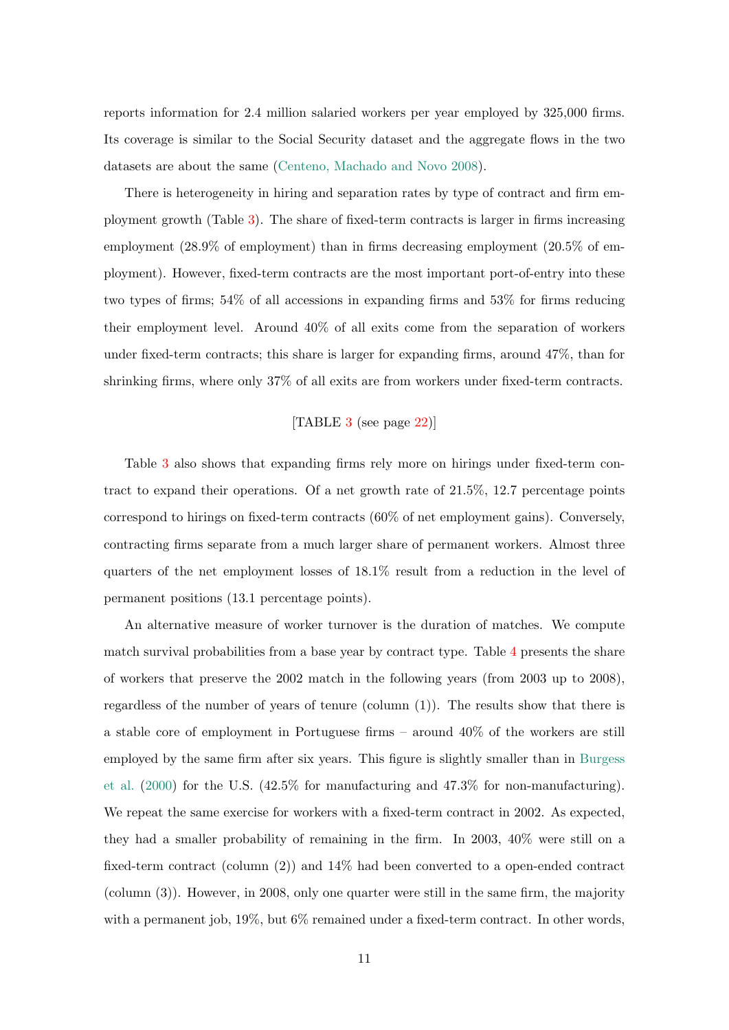reports information for 2.4 million salaried workers per year employed by 325,000 firms. Its coverage is similar to the Social Security dataset and the aggregate flows in the two datasets are about the same [\(Centeno, Machado and Novo](#page-18-11) [2008\)](#page-18-11).

There is heterogeneity in hiring and separation rates by type of contract and firm employment growth (Table [3\)](#page-21-0). The share of fixed-term contracts is larger in firms increasing employment (28.9% of employment) than in firms decreasing employment (20.5% of employment). However, fixed-term contracts are the most important port-of-entry into these two types of firms; 54% of all accessions in expanding firms and 53% for firms reducing their employment level. Around 40% of all exits come from the separation of workers under fixed-term contracts; this share is larger for expanding firms, around 47%, than for shrinking firms, where only 37% of all exits are from workers under fixed-term contracts.

#### [TABLE [3](#page-21-0) (see page [22\)](#page-21-0)]

Table [3](#page-21-0) also shows that expanding firms rely more on hirings under fixed-term contract to expand their operations. Of a net growth rate of 21.5%, 12.7 percentage points correspond to hirings on fixed-term contracts (60% of net employment gains). Conversely, contracting firms separate from a much larger share of permanent workers. Almost three quarters of the net employment losses of 18.1% result from a reduction in the level of permanent positions (13.1 percentage points).

An alternative measure of worker turnover is the duration of matches. We compute match survival probabilities from a base year by contract type. Table [4](#page-21-1) presents the share of workers that preserve the 2002 match in the following years (from 2003 up to 2008), regardless of the number of years of tenure (column  $(1)$ ). The results show that there is a stable core of employment in Portuguese firms – around 40% of the workers are still employed by the same firm after six years. This figure is slightly smaller than in [Burgess](#page-18-7) [et al.](#page-18-7) [\(2000\)](#page-18-7) for the U.S. (42.5% for manufacturing and 47.3% for non-manufacturing). We repeat the same exercise for workers with a fixed-term contract in 2002. As expected, they had a smaller probability of remaining in the firm. In 2003, 40% were still on a fixed-term contract (column (2)) and 14% had been converted to a open-ended contract (column (3)). However, in 2008, only one quarter were still in the same firm, the majority with a permanent job, 19%, but 6% remained under a fixed-term contract. In other words,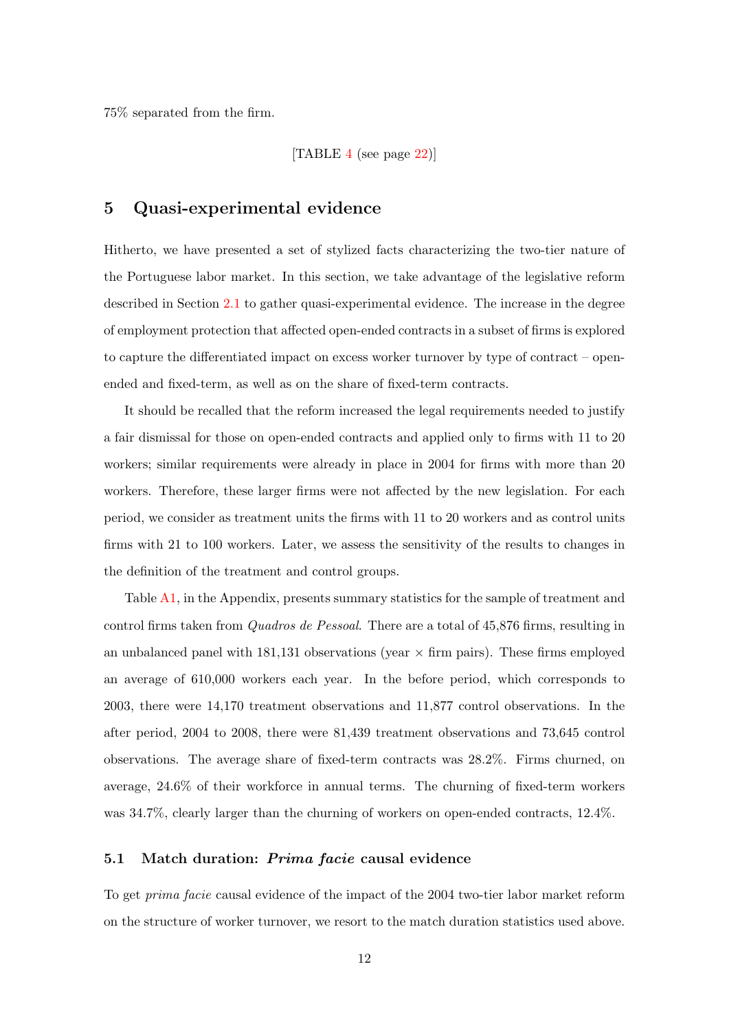75% separated from the firm.

[TABLE [4](#page-21-1) (see page [22\)](#page-21-1)]

## 5 Quasi-experimental evidence

Hitherto, we have presented a set of stylized facts characterizing the two-tier nature of the Portuguese labor market. In this section, we take advantage of the legislative reform described in Section [2.1](#page-3-1) to gather quasi-experimental evidence. The increase in the degree of employment protection that affected open-ended contracts in a subset of firms is explored to capture the differentiated impact on excess worker turnover by type of contract – openended and fixed-term, as well as on the share of fixed-term contracts.

It should be recalled that the reform increased the legal requirements needed to justify a fair dismissal for those on open-ended contracts and applied only to firms with 11 to 20 workers; similar requirements were already in place in 2004 for firms with more than 20 workers. Therefore, these larger firms were not affected by the new legislation. For each period, we consider as treatment units the firms with 11 to 20 workers and as control units firms with 21 to 100 workers. Later, we assess the sensitivity of the results to changes in the definition of the treatment and control groups.

Table [A1,](#page-25-0) in the Appendix, presents summary statistics for the sample of treatment and control firms taken from *Quadros de Pessoal*. There are a total of 45,876 firms, resulting in an unbalanced panel with 181,131 observations (year  $\times$  firm pairs). These firms employed an average of 610,000 workers each year. In the before period, which corresponds to 2003, there were 14,170 treatment observations and 11,877 control observations. In the after period, 2004 to 2008, there were 81,439 treatment observations and 73,645 control observations. The average share of fixed-term contracts was 28.2%. Firms churned, on average, 24.6% of their workforce in annual terms. The churning of fixed-term workers was 34.7%, clearly larger than the churning of workers on open-ended contracts, 12.4%.

#### 5.1 Match duration: *Prima facie* causal evidence

To get prima facie causal evidence of the impact of the 2004 two-tier labor market reform on the structure of worker turnover, we resort to the match duration statistics used above.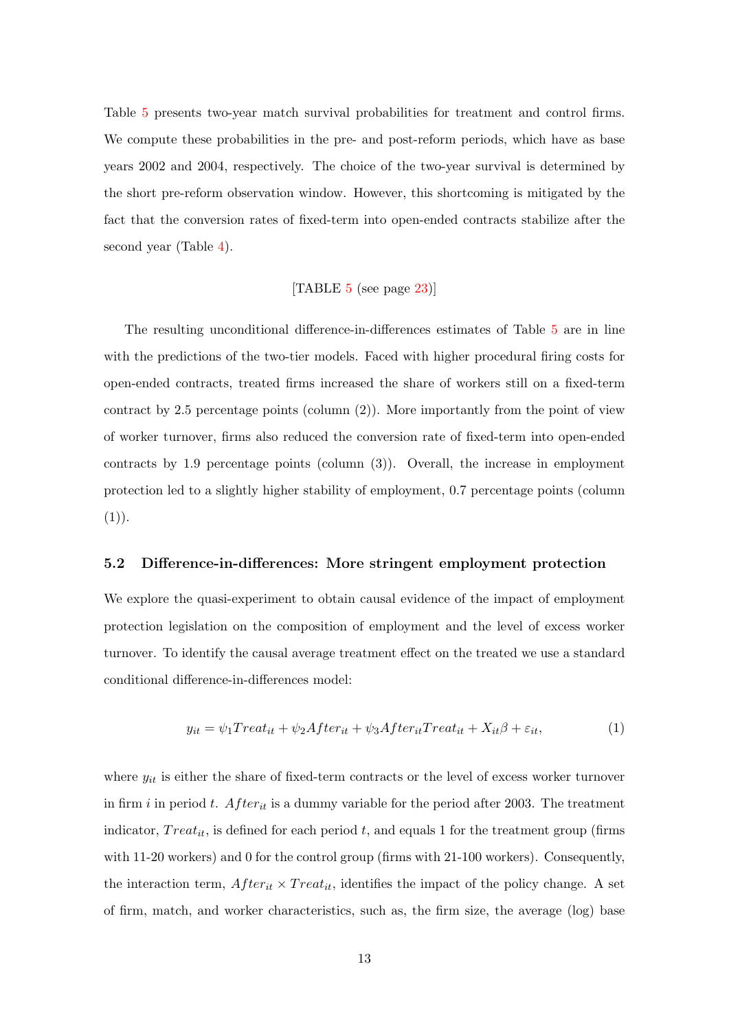Table [5](#page-22-0) presents two-year match survival probabilities for treatment and control firms. We compute these probabilities in the pre- and post-reform periods, which have as base years 2002 and 2004, respectively. The choice of the two-year survival is determined by the short pre-reform observation window. However, this shortcoming is mitigated by the fact that the conversion rates of fixed-term into open-ended contracts stabilize after the second year (Table [4\)](#page-21-1).

#### [TABLE [5](#page-22-0) (see page [23\)](#page-22-0)]

The resulting unconditional difference-in-differences estimates of Table [5](#page-22-0) are in line with the predictions of the two-tier models. Faced with higher procedural firing costs for open-ended contracts, treated firms increased the share of workers still on a fixed-term contract by 2.5 percentage points (column  $(2)$ ). More importantly from the point of view of worker turnover, firms also reduced the conversion rate of fixed-term into open-ended contracts by 1.9 percentage points (column (3)). Overall, the increase in employment protection led to a slightly higher stability of employment, 0.7 percentage points (column  $(1)).$ 

#### 5.2 Difference-in-differences: More stringent employment protection

We explore the quasi-experiment to obtain causal evidence of the impact of employment protection legislation on the composition of employment and the level of excess worker turnover. To identify the causal average treatment effect on the treated we use a standard conditional difference-in-differences model:

$$
y_{it} = \psi_1 Treat_{it} + \psi_2 After_{it} + \psi_3 After_{it} Treat_{it} + X_{it}\beta + \varepsilon_{it},\tag{1}
$$

where  $y_{it}$  is either the share of fixed-term contracts or the level of excess worker turnover in firm i in period t.  $After_{it}$  is a dummy variable for the period after 2003. The treatment indicator,  $Treat_{it}$ , is defined for each period t, and equals 1 for the treatment group (firms with 11-20 workers) and 0 for the control group (firms with 21-100 workers). Consequently, the interaction term,  $After_{it} \times Treat_{it}$ , identifies the impact of the policy change. A set of firm, match, and worker characteristics, such as, the firm size, the average (log) base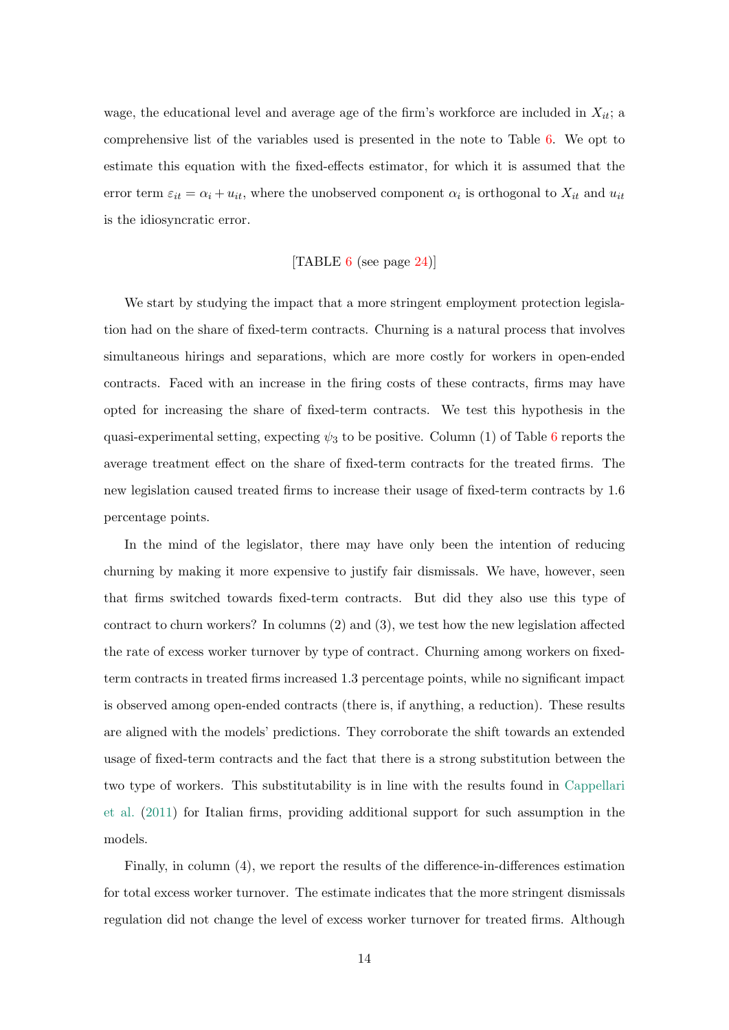wage, the educational level and average age of the firm's workforce are included in  $X_{it}$ ; a comprehensive list of the variables used is presented in the note to Table [6.](#page-23-0) We opt to estimate this equation with the fixed-effects estimator, for which it is assumed that the error term  $\varepsilon_{it} = \alpha_i + u_{it}$ , where the unobserved component  $\alpha_i$  is orthogonal to  $X_{it}$  and  $u_{it}$ is the idiosyncratic error.

#### [TABLE  $6$  (see page [24\)](#page-23-0)]

We start by studying the impact that a more stringent employment protection legislation had on the share of fixed-term contracts. Churning is a natural process that involves simultaneous hirings and separations, which are more costly for workers in open-ended contracts. Faced with an increase in the firing costs of these contracts, firms may have opted for increasing the share of fixed-term contracts. We test this hypothesis in the quasi-experimental setting, expecting  $\psi_3$  to be positive. Column (1) of Table [6](#page-23-0) reports the average treatment effect on the share of fixed-term contracts for the treated firms. The new legislation caused treated firms to increase their usage of fixed-term contracts by 1.6 percentage points.

In the mind of the legislator, there may have only been the intention of reducing churning by making it more expensive to justify fair dismissals. We have, however, seen that firms switched towards fixed-term contracts. But did they also use this type of contract to churn workers? In columns (2) and (3), we test how the new legislation affected the rate of excess worker turnover by type of contract. Churning among workers on fixedterm contracts in treated firms increased 1.3 percentage points, while no significant impact is observed among open-ended contracts (there is, if anything, a reduction). These results are aligned with the models' predictions. They corroborate the shift towards an extended usage of fixed-term contracts and the fact that there is a strong substitution between the two type of workers. This substitutability is in line with the results found in [Cappellari](#page-18-3) [et al.](#page-18-3) [\(2011\)](#page-18-3) for Italian firms, providing additional support for such assumption in the models.

Finally, in column (4), we report the results of the difference-in-differences estimation for total excess worker turnover. The estimate indicates that the more stringent dismissals regulation did not change the level of excess worker turnover for treated firms. Although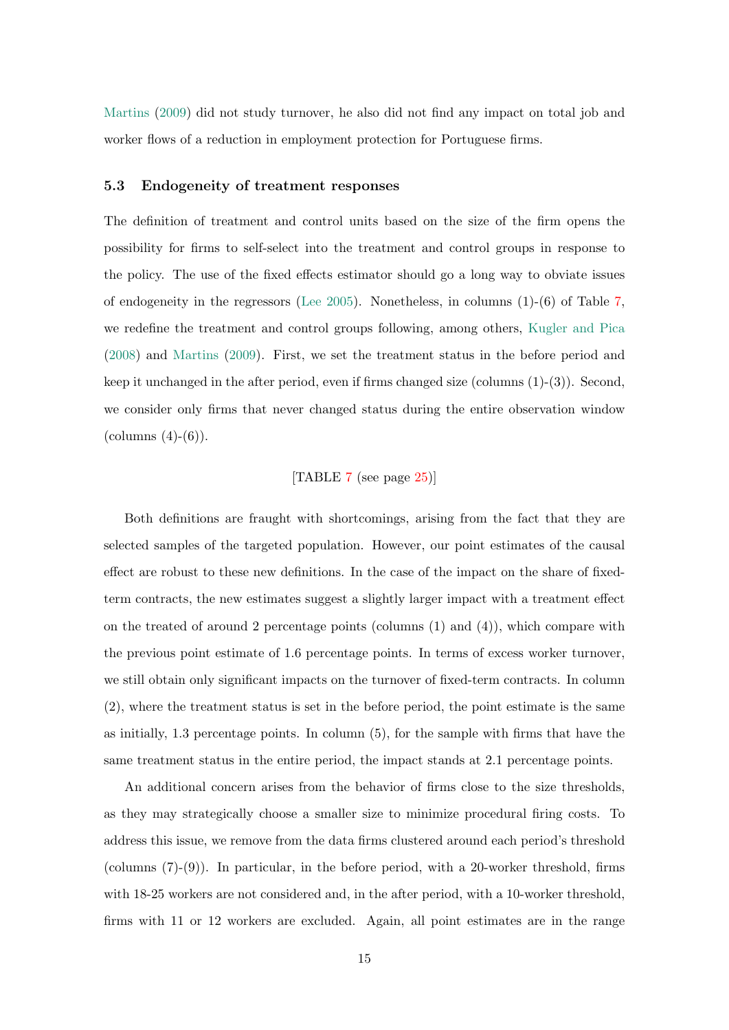[Martins](#page-19-2) [\(2009\)](#page-19-2) did not study turnover, he also did not find any impact on total job and worker flows of a reduction in employment protection for Portuguese firms.

#### 5.3 Endogeneity of treatment responses

The definition of treatment and control units based on the size of the firm opens the possibility for firms to self-select into the treatment and control groups in response to the policy. The use of the fixed effects estimator should go a long way to obviate issues of endogeneity in the regressors [\(Lee](#page-19-6) [2005\)](#page-19-6). Nonetheless, in columns  $(1)-(6)$  of Table [7,](#page-24-0) we redefine the treatment and control groups following, among others, [Kugler and Pica](#page-19-3) [\(2008\)](#page-19-3) and [Martins](#page-19-2) [\(2009\)](#page-19-2). First, we set the treatment status in the before period and keep it unchanged in the after period, even if firms changed size (columns  $(1)-(3)$ ). Second, we consider only firms that never changed status during the entire observation window  $\text{(columns (4)-(6))}.$ 

#### [TABLE [7](#page-24-0) (see page [25\)](#page-24-0)]

Both definitions are fraught with shortcomings, arising from the fact that they are selected samples of the targeted population. However, our point estimates of the causal effect are robust to these new definitions. In the case of the impact on the share of fixedterm contracts, the new estimates suggest a slightly larger impact with a treatment effect on the treated of around 2 percentage points (columns  $(1)$  and  $(4)$ ), which compare with the previous point estimate of 1.6 percentage points. In terms of excess worker turnover, we still obtain only significant impacts on the turnover of fixed-term contracts. In column (2), where the treatment status is set in the before period, the point estimate is the same as initially, 1.3 percentage points. In column (5), for the sample with firms that have the same treatment status in the entire period, the impact stands at 2.1 percentage points.

An additional concern arises from the behavior of firms close to the size thresholds, as they may strategically choose a smaller size to minimize procedural firing costs. To address this issue, we remove from the data firms clustered around each period's threshold (columns  $(7)-(9)$ ). In particular, in the before period, with a 20-worker threshold, firms with 18-25 workers are not considered and, in the after period, with a 10-worker threshold, firms with 11 or 12 workers are excluded. Again, all point estimates are in the range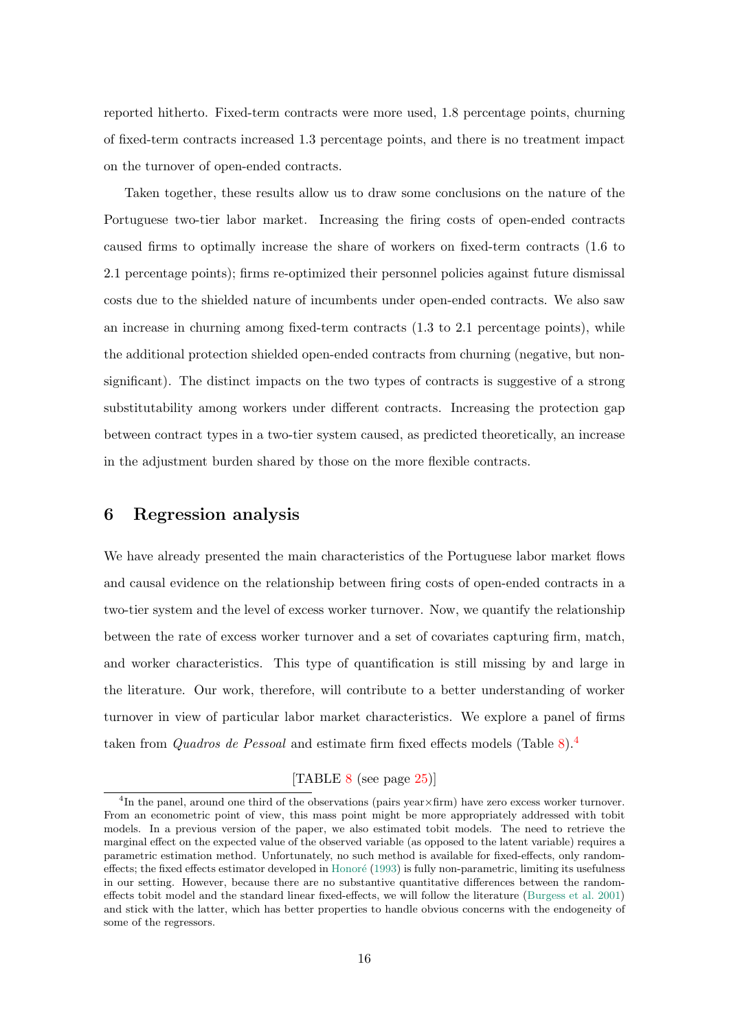reported hitherto. Fixed-term contracts were more used, 1.8 percentage points, churning of fixed-term contracts increased 1.3 percentage points, and there is no treatment impact on the turnover of open-ended contracts.

Taken together, these results allow us to draw some conclusions on the nature of the Portuguese two-tier labor market. Increasing the firing costs of open-ended contracts caused firms to optimally increase the share of workers on fixed-term contracts (1.6 to 2.1 percentage points); firms re-optimized their personnel policies against future dismissal costs due to the shielded nature of incumbents under open-ended contracts. We also saw an increase in churning among fixed-term contracts (1.3 to 2.1 percentage points), while the additional protection shielded open-ended contracts from churning (negative, but nonsignificant). The distinct impacts on the two types of contracts is suggestive of a strong substitutability among workers under different contracts. Increasing the protection gap between contract types in a two-tier system caused, as predicted theoretically, an increase in the adjustment burden shared by those on the more flexible contracts.

## 6 Regression analysis

We have already presented the main characteristics of the Portuguese labor market flows and causal evidence on the relationship between firing costs of open-ended contracts in a two-tier system and the level of excess worker turnover. Now, we quantify the relationship between the rate of excess worker turnover and a set of covariates capturing firm, match, and worker characteristics. This type of quantification is still missing by and large in the literature. Our work, therefore, will contribute to a better understanding of worker turnover in view of particular labor market characteristics. We explore a panel of firms taken from *Quadros de Pessoal* and estimate firm fixed effects models (Table [8\)](#page-24-1).<sup>[4](#page-15-0)</sup>

## [TABLE [8](#page-24-1) (see page [25\)](#page-24-1)]

<span id="page-15-0"></span><sup>4</sup> In the panel, around one third of the observations (pairs year×firm) have zero excess worker turnover. From an econometric point of view, this mass point might be more appropriately addressed with tobit models. In a previous version of the paper, we also estimated tobit models. The need to retrieve the marginal effect on the expected value of the observed variable (as opposed to the latent variable) requires a parametric estimation method. Unfortunately, no such method is available for fixed-effects, only random-effects; the fixed effects estimator developed in Honoré [\(1993\)](#page-19-7) is fully non-parametric, limiting its usefulness in our setting. However, because there are no substantive quantitative differences between the randomeffects tobit model and the standard linear fixed-effects, we will follow the literature [\(Burgess et al.](#page-18-4) [2001\)](#page-18-4) and stick with the latter, which has better properties to handle obvious concerns with the endogeneity of some of the regressors.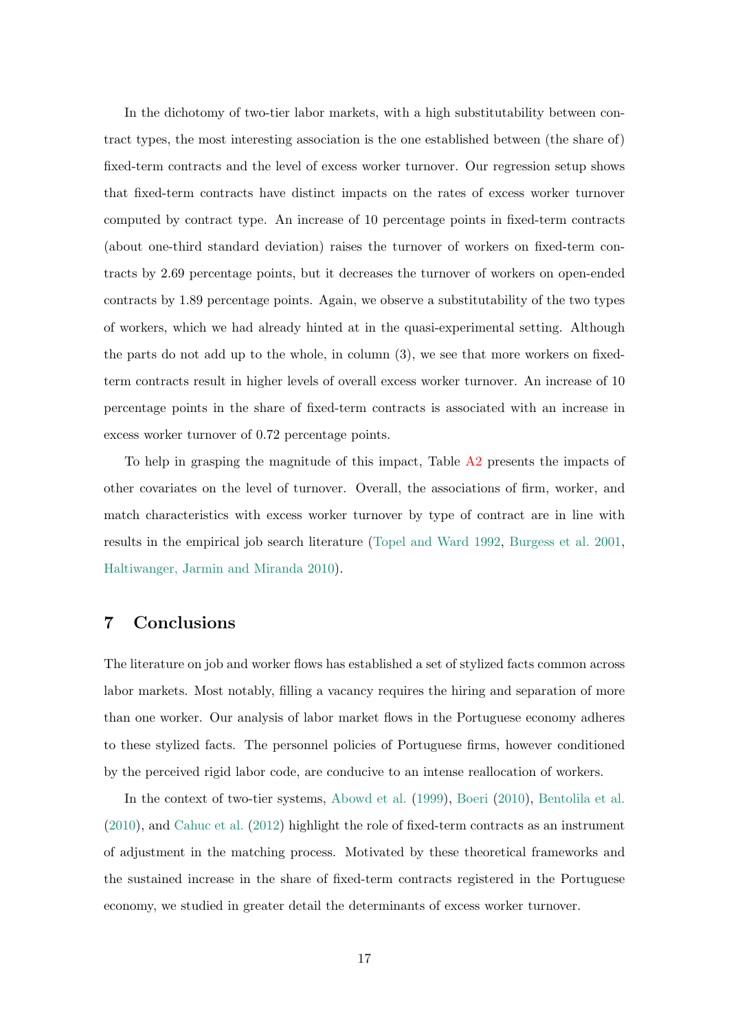In the dichotomy of two-tier labor markets, with a high substitutability between contract types, the most interesting association is the one established between (the share of) fixed-term contracts and the level of excess worker turnover. Our regression setup shows that fixed-term contracts have distinct impacts on the rates of excess worker turnover computed by contract type. An increase of 10 percentage points in fixed-term contracts (about one-third standard deviation) raises the turnover of workers on fixed-term contracts by 2.69 percentage points, but it decreases the turnover of workers on open-ended contracts by 1.89 percentage points. Again, we observe a substitutability of the two types of workers, which we had already hinted at in the quasi-experimental setting. Although the parts do not add up to the whole, in column (3), we see that more workers on fixedterm contracts result in higher levels of overall excess worker turnover. An increase of 10 percentage points in the share of fixed-term contracts is associated with an increase in excess worker turnover of 0.72 percentage points.

To help in grasping the magnitude of this impact, Table [A2](#page-26-0) presents the impacts of other covariates on the level of turnover. Overall, the associations of firm, worker, and match characteristics with excess worker turnover by type of contract are in line with results in the empirical job search literature [\(Topel and Ward](#page-19-8) [1992,](#page-19-8) [Burgess et al.](#page-18-4) [2001,](#page-18-4) [Haltiwanger, Jarmin and Miranda](#page-19-9) [2010\)](#page-19-9).

## 7 Conclusions

The literature on job and worker flows has established a set of stylized facts common across labor markets. Most notably, filling a vacancy requires the hiring and separation of more than one worker. Our analysis of labor market flows in the Portuguese economy adheres to these stylized facts. The personnel policies of Portuguese firms, however conditioned by the perceived rigid labor code, are conducive to an intense reallocation of workers.

In the context of two-tier systems, [Abowd et al.](#page-17-0) [\(1999\)](#page-17-0), [Boeri](#page-18-1) [\(2010\)](#page-18-1), [Bentolila et al.](#page-17-2) [\(2010\)](#page-17-2), and [Cahuc et al.](#page-18-5) [\(2012\)](#page-18-5) highlight the role of fixed-term contracts as an instrument of adjustment in the matching process. Motivated by these theoretical frameworks and the sustained increase in the share of fixed-term contracts registered in the Portuguese economy, we studied in greater detail the determinants of excess worker turnover.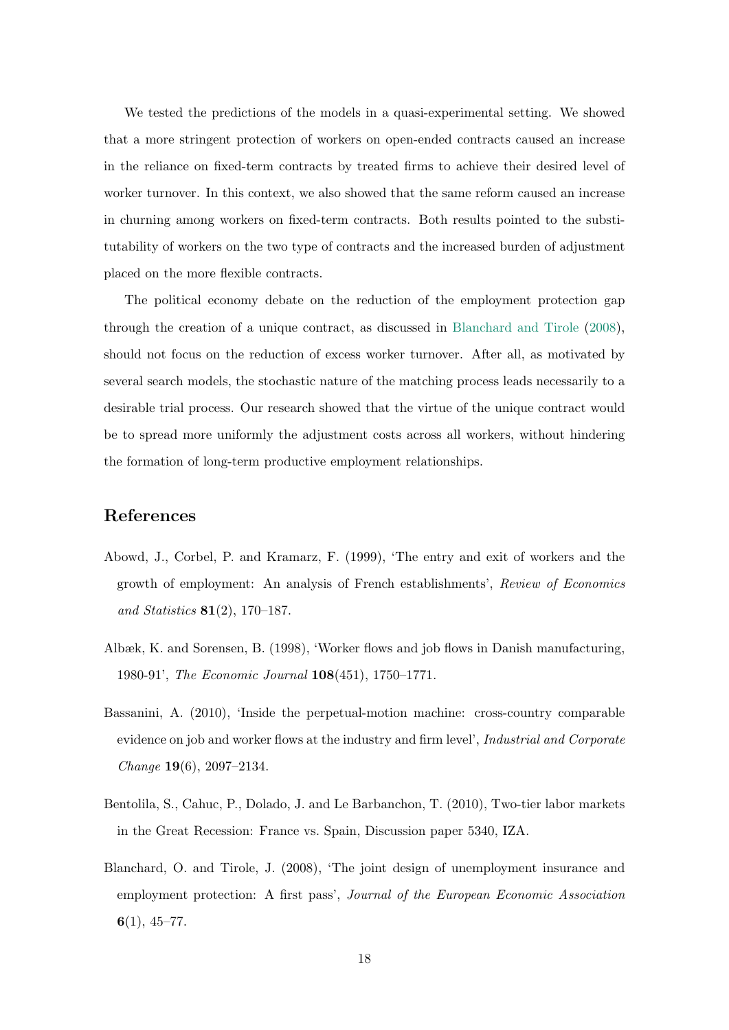We tested the predictions of the models in a quasi-experimental setting. We showed that a more stringent protection of workers on open-ended contracts caused an increase in the reliance on fixed-term contracts by treated firms to achieve their desired level of worker turnover. In this context, we also showed that the same reform caused an increase in churning among workers on fixed-term contracts. Both results pointed to the substitutability of workers on the two type of contracts and the increased burden of adjustment placed on the more flexible contracts.

The political economy debate on the reduction of the employment protection gap through the creation of a unique contract, as discussed in [Blanchard and Tirole](#page-17-4) [\(2008\)](#page-17-4), should not focus on the reduction of excess worker turnover. After all, as motivated by several search models, the stochastic nature of the matching process leads necessarily to a desirable trial process. Our research showed that the virtue of the unique contract would be to spread more uniformly the adjustment costs across all workers, without hindering the formation of long-term productive employment relationships.

## References

- <span id="page-17-0"></span>Abowd, J., Corbel, P. and Kramarz, F. (1999), 'The entry and exit of workers and the growth of employment: An analysis of French establishments', Review of Economics and Statistics 81(2), 170–187.
- <span id="page-17-3"></span>Albæk, K. and Sorensen, B. (1998), 'Worker flows and job flows in Danish manufacturing, 1980-91', The Economic Journal 108(451), 1750–1771.
- <span id="page-17-1"></span>Bassanini, A. (2010), 'Inside the perpetual-motion machine: cross-country comparable evidence on job and worker flows at the industry and firm level', *Industrial and Corporate* Change 19(6), 2097–2134.
- <span id="page-17-2"></span>Bentolila, S., Cahuc, P., Dolado, J. and Le Barbanchon, T. (2010), Two-tier labor markets in the Great Recession: France vs. Spain, Discussion paper 5340, IZA.
- <span id="page-17-4"></span>Blanchard, O. and Tirole, J. (2008), 'The joint design of unemployment insurance and employment protection: A first pass', Journal of the European Economic Association  $6(1), 45-77.$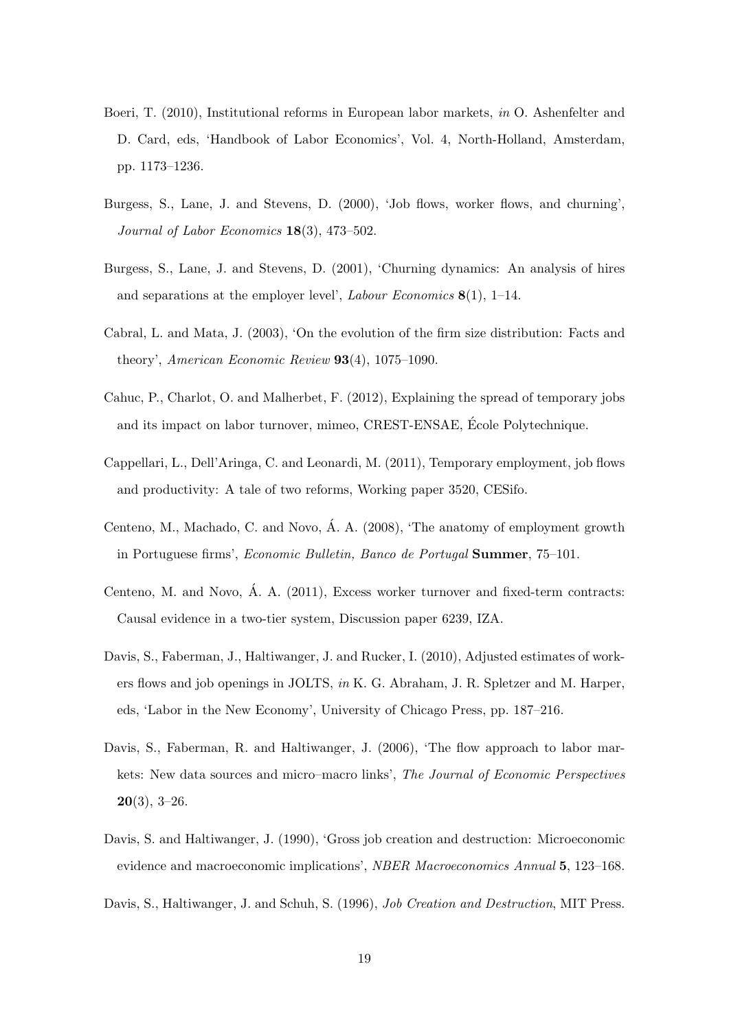- <span id="page-18-1"></span>Boeri, T. (2010), Institutional reforms in European labor markets, in O. Ashenfelter and D. Card, eds, 'Handbook of Labor Economics', Vol. 4, North-Holland, Amsterdam, pp. 1173–1236.
- <span id="page-18-7"></span>Burgess, S., Lane, J. and Stevens, D. (2000), 'Job flows, worker flows, and churning', Journal of Labor Economics 18(3), 473–502.
- <span id="page-18-4"></span>Burgess, S., Lane, J. and Stevens, D. (2001), 'Churning dynamics: An analysis of hires and separations at the employer level', *Labour Economics*  $8(1)$ , 1–14.
- <span id="page-18-9"></span>Cabral, L. and Mata, J. (2003), 'On the evolution of the firm size distribution: Facts and theory', American Economic Review 93(4), 1075–1090.
- <span id="page-18-5"></span>Cahuc, P., Charlot, O. and Malherbet, F. (2012), Explaining the spread of temporary jobs and its impact on labor turnover, mimeo, CREST-ENSAE, Ecole Polytechnique. ´
- <span id="page-18-3"></span>Cappellari, L., Dell'Aringa, C. and Leonardi, M. (2011), Temporary employment, job flows and productivity: A tale of two reforms, Working paper 3520, CESifo.
- <span id="page-18-11"></span>Centeno, M., Machado, C. and Novo, A. A. (2008), 'The anatomy of employment growth ´ in Portuguese firms', Economic Bulletin, Banco de Portugal Summer, 75–101.
- <span id="page-18-10"></span>Centeno, M. and Novo, A. A. (2011), Excess worker turnover and fixed-term contracts: ´ Causal evidence in a two-tier system, Discussion paper 6239, IZA.
- <span id="page-18-8"></span>Davis, S., Faberman, J., Haltiwanger, J. and Rucker, I. (2010), Adjusted estimates of workers flows and job openings in JOLTS, in K. G. Abraham, J. R. Spletzer and M. Harper, eds, 'Labor in the New Economy', University of Chicago Press, pp. 187–216.
- <span id="page-18-2"></span>Davis, S., Faberman, R. and Haltiwanger, J. (2006), 'The flow approach to labor markets: New data sources and micro–macro links', The Journal of Economic Perspectives  $20(3), 3-26.$
- <span id="page-18-0"></span>Davis, S. and Haltiwanger, J. (1990), 'Gross job creation and destruction: Microeconomic evidence and macroeconomic implications', NBER Macroeconomics Annual 5, 123–168.
- <span id="page-18-6"></span>Davis, S., Haltiwanger, J. and Schuh, S. (1996), Job Creation and Destruction, MIT Press.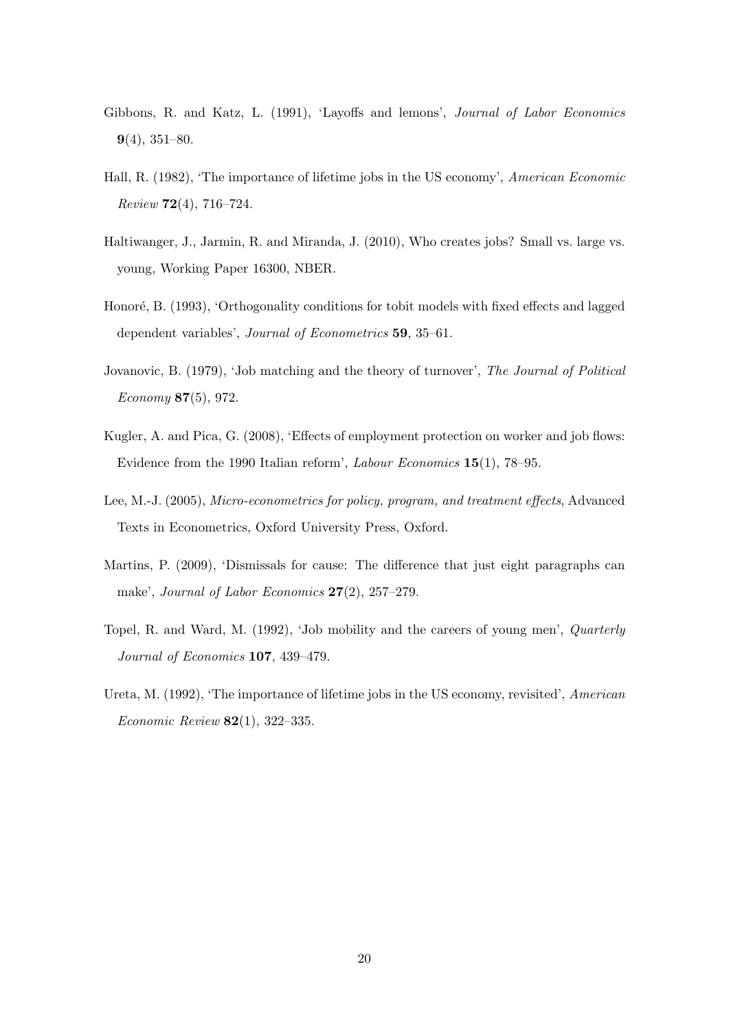- <span id="page-19-1"></span>Gibbons, R. and Katz, L. (1991), 'Layoffs and lemons', Journal of Labor Economics  $9(4)$ , 351–80.
- <span id="page-19-4"></span>Hall, R. (1982), 'The importance of lifetime jobs in the US economy', American Economic Review 72(4), 716–724.
- <span id="page-19-9"></span>Haltiwanger, J., Jarmin, R. and Miranda, J. (2010), Who creates jobs? Small vs. large vs. young, Working Paper 16300, NBER.
- <span id="page-19-7"></span>Honoré, B. (1993), 'Orthogonality conditions for tobit models with fixed effects and lagged dependent variables', Journal of Econometrics 59, 35–61.
- <span id="page-19-0"></span>Jovanovic, B. (1979), 'Job matching and the theory of turnover', The Journal of Political Economy 87(5), 972.
- <span id="page-19-3"></span>Kugler, A. and Pica, G. (2008), 'Effects of employment protection on worker and job flows: Evidence from the 1990 Italian reform', Labour Economics 15(1), 78–95.
- <span id="page-19-6"></span>Lee, M.-J. (2005), Micro-econometrics for policy, program, and treatment effects, Advanced Texts in Econometrics, Oxford University Press, Oxford.
- <span id="page-19-2"></span>Martins, P. (2009), 'Dismissals for cause: The difference that just eight paragraphs can make', Journal of Labor Economics 27(2), 257–279.
- <span id="page-19-8"></span>Topel, R. and Ward, M. (1992), 'Job mobility and the careers of young men', Quarterly Journal of Economics 107, 439–479.
- <span id="page-19-5"></span>Ureta, M. (1992), 'The importance of lifetime jobs in the US economy, revisited', American Economic Review 82(1), 322–335.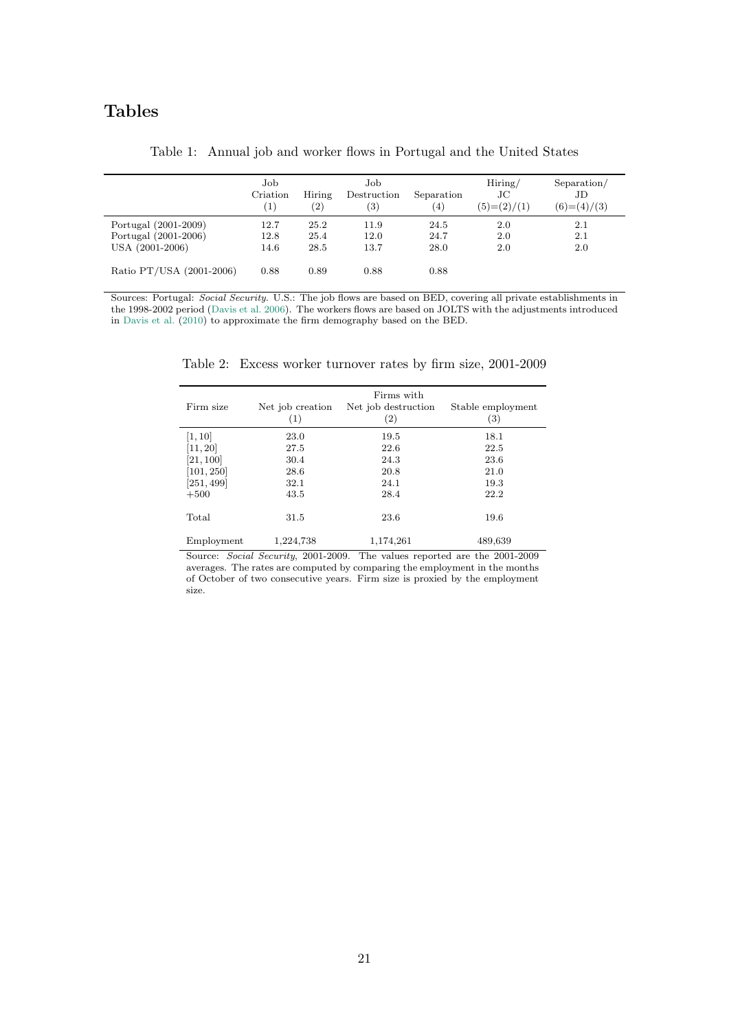## Tables

<span id="page-20-0"></span>

|                                                                 | Job<br>Criation<br>(1) | Hiring<br>(2)        | Job<br>Destruction<br>(3) | Separation<br>(4)    | Hiring/<br>JС<br>$(5)= (2)/(1)$ | Separation/<br>JD<br>$(6)=(4)/(3)$ |
|-----------------------------------------------------------------|------------------------|----------------------|---------------------------|----------------------|---------------------------------|------------------------------------|
| Portugal (2001-2009)<br>Portugal (2001-2006)<br>USA (2001-2006) | 12.7<br>12.8<br>14.6   | 25.2<br>25.4<br>28.5 | 11.9<br>12.0<br>13.7      | 24.5<br>24.7<br>28.0 | 2.0<br>2.0<br>2.0               | 2.1<br>2.1<br>2.0                  |
| Ratio PT/USA (2001-2006)                                        | 0.88                   | 0.89                 | 0.88                      | 0.88                 |                                 |                                    |

Table 1: Annual job and worker flows in Portugal and the United States

<span id="page-20-1"></span>Sources: Portugal: Social Security. U.S.: The job flows are based on BED, covering all private establishments in the 1998-2002 period [\(Davis et al.](#page-18-2) [2006\)](#page-18-2). The workers flows are based on JOLTS with the adjustments introduced in [Davis et al.](#page-18-8) [\(2010\)](#page-18-8) to approximate the firm demography based on the BED.

| Firm size  | Net job creation<br>(1) | Firms with<br>Net job destruction<br>$\left( 2\right)$ | Stable employment<br>(3) |
|------------|-------------------------|--------------------------------------------------------|--------------------------|
| [1, 10]    | 23.0                    | 19.5                                                   | 18.1                     |
| [11, 20]   | 27.5                    | 22.6                                                   | 22.5                     |
| [21, 100]  | 30.4                    | 24.3                                                   | 23.6                     |
| [101, 250] | 28.6                    | 20.8                                                   | 21.0                     |
| [251, 499] | 32.1                    | 24.1                                                   | 19.3                     |
| $+500$     | 43.5                    | 28.4                                                   | 22.2                     |
| Total      | 31.5                    | 23.6                                                   | 19.6                     |
| Employment | 1,224,738               | 1,174,261                                              | 489,639                  |

Table 2: Excess worker turnover rates by firm size, 2001-2009

Source: Social Security, 2001-2009. The values reported are the 2001-2009 averages. The rates are computed by comparing the employment in the months of October of two consecutive years. Firm size is proxied by the employment size.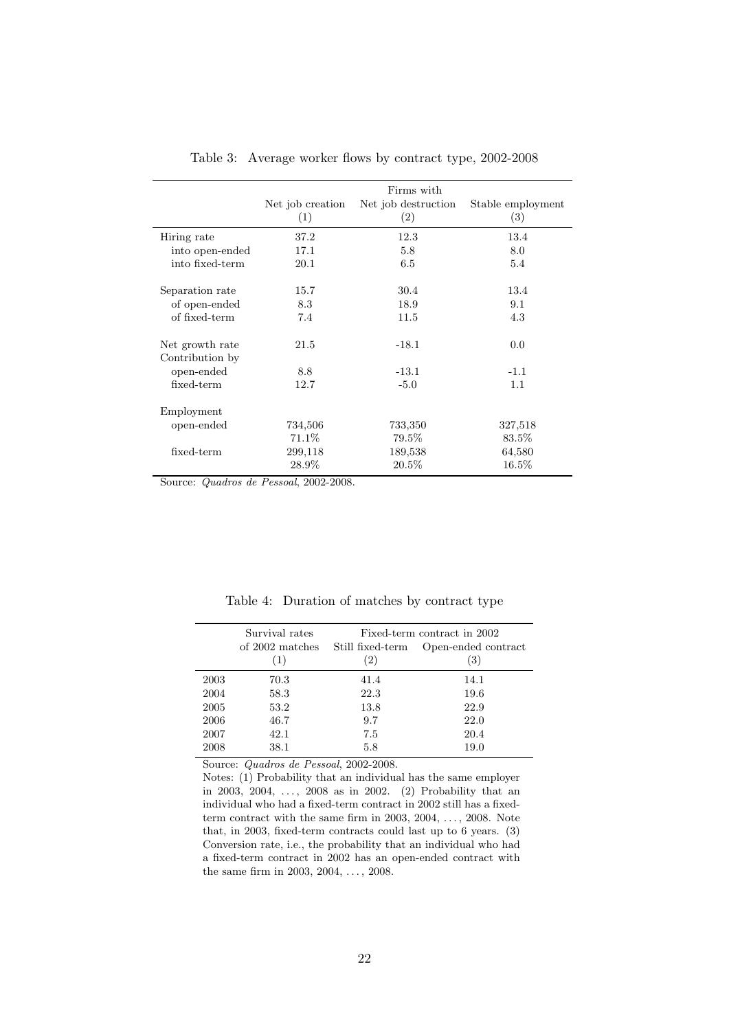<span id="page-21-0"></span>

|                 | Firms with       |                     |                   |  |  |
|-----------------|------------------|---------------------|-------------------|--|--|
|                 | Net job creation | Net job destruction | Stable employment |  |  |
|                 | (1)              | (2)                 | (3)               |  |  |
| Hiring rate     | 37.2             | 12.3                | 13.4              |  |  |
| into open-ended | 17.1             | 5.8                 | 8.0               |  |  |
| into fixed-term | 20.1             | 6.5                 | 5.4               |  |  |
| Separation rate | 15.7             | 30.4                | 13.4              |  |  |
| of open-ended   | 8.3              | 18.9                | 9.1               |  |  |
| of fixed-term   | 7.4              | 11.5                | 4.3               |  |  |
| Net growth rate | 21.5             | $-18.1$             | 0.0               |  |  |
| Contribution by |                  |                     |                   |  |  |
| open-ended      | 8.8              | $-13.1$             | $-1.1$            |  |  |
| fixed-term      | 12.7             | $-5.0$              | 1.1               |  |  |
| Employment      |                  |                     |                   |  |  |
| open-ended      | 734,506          | 733,350             | 327,518           |  |  |
|                 | 71.1\%           | 79.5%               | 83.5%             |  |  |
| fixed-term      | 299,118          | 189,538             | 64,580            |  |  |
|                 | 28.9%            | 20.5%               | 16.5%             |  |  |

Table 3: Average worker flows by contract type, 2002-2008

Source: Quadros de Pessoal, 2002-2008.

<span id="page-21-1"></span>

|      | Survival rates<br>of 2002 matches<br>(1) | Still fixed-term<br>(2) | Fixed-term contract in 2002<br>Open-ended contract<br>3) |
|------|------------------------------------------|-------------------------|----------------------------------------------------------|
| 2003 | 70.3                                     | 41.4                    | 14.1                                                     |
| 2004 | 58.3                                     | 22.3                    | 19.6                                                     |
| 2005 | 53.2                                     | 13.8                    | 22.9                                                     |
| 2006 | 46.7                                     | 9.7                     | 22.0                                                     |
| 2007 | 42.1                                     | 7.5                     | 20.4                                                     |
| 2008 | 38.1                                     | 5.8                     | 19.0                                                     |

Table 4: Duration of matches by contract type

Source: Quadros de Pessoal, 2002-2008.

Notes: (1) Probability that an individual has the same employer in 2003, 2004, ..., 2008 as in 2002. (2) Probability that an individual who had a fixed-term contract in 2002 still has a fixedterm contract with the same firm in 2003,  $2004, \ldots, 2008$ . Note that, in 2003, fixed-term contracts could last up to 6 years. (3) Conversion rate, i.e., the probability that an individual who had a fixed-term contract in 2002 has an open-ended contract with the same firm in 2003, 2004, ..., 2008.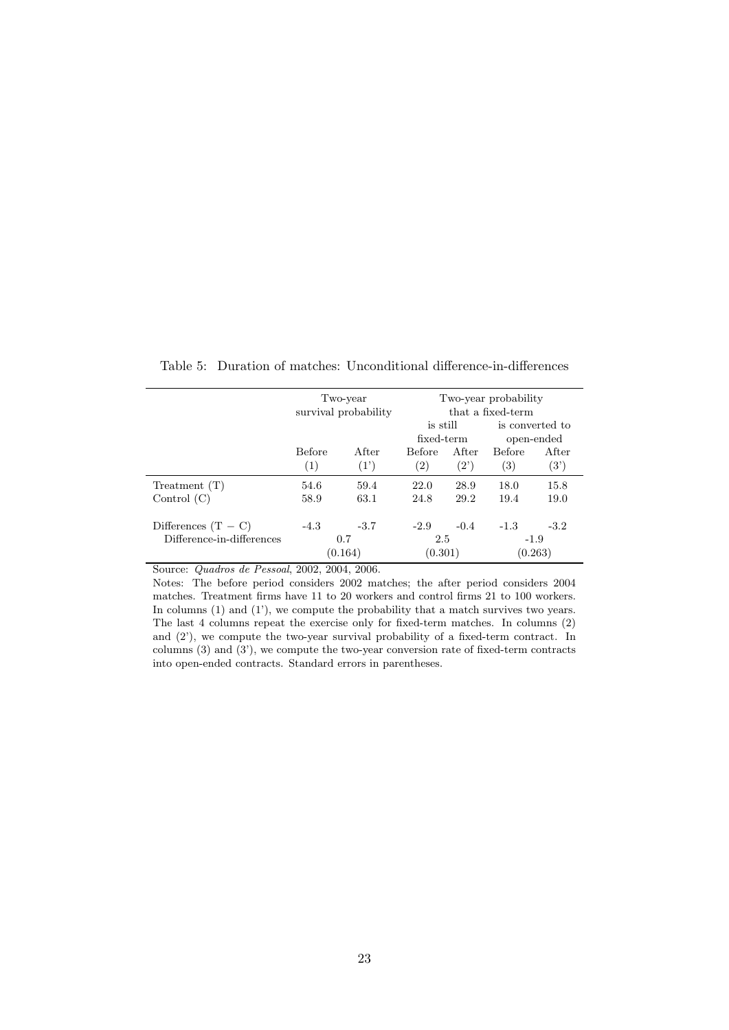|                           | Two-year<br>survival probability |               | Two-year probability<br>that a fixed-term |                         |                               |                         |
|---------------------------|----------------------------------|---------------|-------------------------------------------|-------------------------|-------------------------------|-------------------------|
|                           |                                  |               | is still<br>fixed-term                    |                         | is converted to<br>open-ended |                         |
|                           | <b>Before</b><br>(1)             | After<br>(1') | <b>Before</b><br>$\left( 2\right)$        | After<br>$(2^{\prime})$ | <b>Before</b><br>(3)          | After<br>$(3^{\prime})$ |
| Treatment(T)              | 54.6                             | 59.4          | 22.0                                      | 28.9                    | 18.0                          | 15.8                    |
| Control $(C)$             | 58.9                             | 63.1          | 24.8                                      | 29.2                    | 19.4                          | 19.0                    |
| Differences $(T - C)$     | $-4.3$                           | $-3.7$        | $-2.9$                                    | $-0.4$                  | $-1.3$                        | $-3.2$                  |
| Difference-in-differences | 0.7<br>(0.164)                   |               | 2.5<br>(0.301)                            |                         | $-1.9$<br>(0.263)             |                         |

<span id="page-22-0"></span>Table 5: Duration of matches: Unconditional difference-in-differences

Source: Quadros de Pessoal, 2002, 2004, 2006.

Notes: The before period considers 2002 matches; the after period considers 2004 matches. Treatment firms have 11 to 20 workers and control firms 21 to 100 workers. In columns (1) and (1'), we compute the probability that a match survives two years. The last 4 columns repeat the exercise only for fixed-term matches. In columns (2) and (2'), we compute the two-year survival probability of a fixed-term contract. In columns (3) and (3'), we compute the two-year conversion rate of fixed-term contracts into open-ended contracts. Standard errors in parentheses.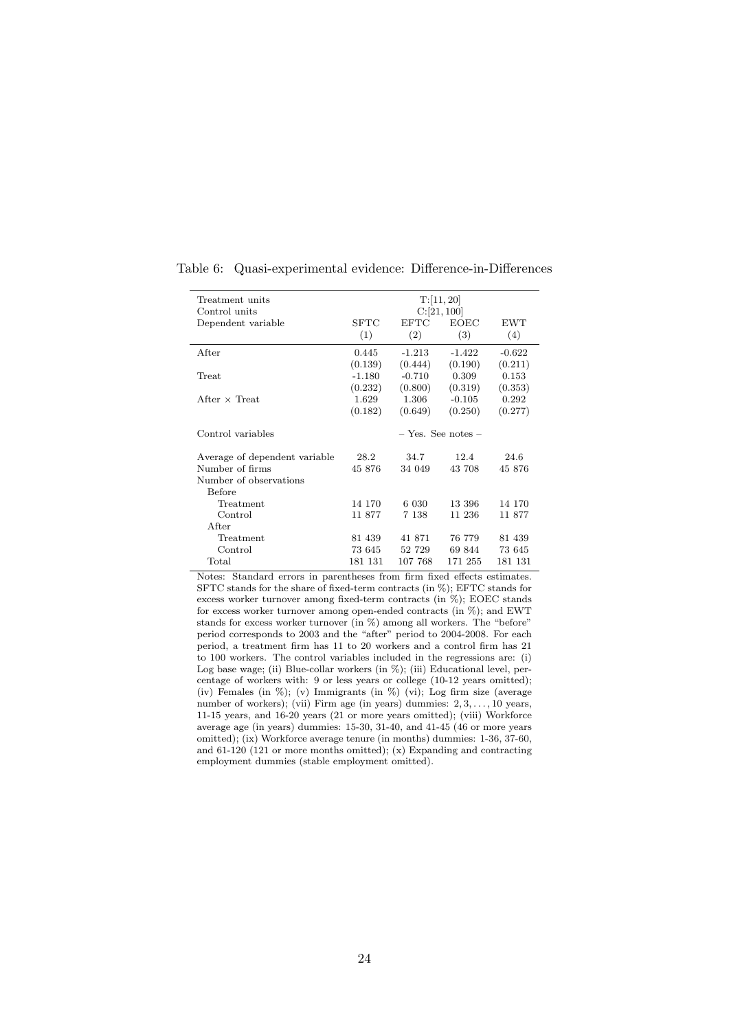| Treatment units               | T: [11, 20] |             |                        |            |  |  |  |
|-------------------------------|-------------|-------------|------------------------|------------|--|--|--|
| Control units                 | C:[21,100]  |             |                        |            |  |  |  |
| Dependent variable            | SFTC        | <b>EFTC</b> | <b>EOEC</b>            | <b>EWT</b> |  |  |  |
|                               | (1)         | (2)         | (3)                    | (4)        |  |  |  |
| After                         | 0.445       | $-1.213$    | $-1.422$               | $-0.622$   |  |  |  |
|                               | (0.139)     | (0.444)     | (0.190)                | (0.211)    |  |  |  |
| Treat                         | $-1.180$    | $-0.710$    | 0.309                  | 0.153      |  |  |  |
|                               | (0.232)     | (0.800)     | (0.319)                | (0.353)    |  |  |  |
| After $\times$ Treat.         | 1.629       | 1.306       | $-0.105$               | 0.292      |  |  |  |
|                               | (0.182)     | (0.649)     | (0.250)                | (0.277)    |  |  |  |
| Control variables             |             |             | $-$ Yes. See notes $-$ |            |  |  |  |
| Average of dependent variable | 28.2        | 34.7        | 12.4                   | 24.6       |  |  |  |
| Number of firms               | 45 876      | 34 049      | 43 708                 | 45 876     |  |  |  |
| Number of observations        |             |             |                        |            |  |  |  |
| Before                        |             |             |                        |            |  |  |  |
| Treatment                     | 14 170      | 6 0 30      | 13 396                 | 14 170     |  |  |  |
| Control                       | 11 877      | 7 1 3 8     | 11 236                 | 11 877     |  |  |  |
| After                         |             |             |                        |            |  |  |  |
| Treatment                     | 81 439      | 41 871      | 76 779                 | 81 439     |  |  |  |
| Control                       | 73 645      | 52 729      | 69 844                 | 73 645     |  |  |  |
| Total                         | 181 131     | 107 768     | 171 255                | 181 131    |  |  |  |

<span id="page-23-0"></span>Table 6: Quasi-experimental evidence: Difference-in-Differences

Notes: Standard errors in parentheses from firm fixed effects estimates. SFTC stands for the share of fixed-term contracts (in %); EFTC stands for excess worker turnover among fixed-term contracts (in %); EOEC stands for excess worker turnover among open-ended contracts (in  $\%$ ); and EWT stands for excess worker turnover (in %) among all workers. The "before" period corresponds to 2003 and the "after" period to 2004-2008. For each period, a treatment firm has 11 to 20 workers and a control firm has 21 to 100 workers. The control variables included in the regressions are: (i) Log base wage; (ii) Blue-collar workers (in %); (iii) Educational level, percentage of workers with: 9 or less years or college (10-12 years omitted); (iv) Females (in %); (v) Immigrants (in %) (vi); Log firm size (average number of workers); (vii) Firm age (in years) dummies: 2, 3, ..., 10 years, 11-15 years, and 16-20 years (21 or more years omitted); (viii) Workforce average age (in years) dummies: 15-30, 31-40, and 41-45 (46 or more years omitted); (ix) Workforce average tenure (in months) dummies: 1-36, 37-60, and 61-120 (121 or more months omitted); (x) Expanding and contracting employment dummies (stable employment omitted).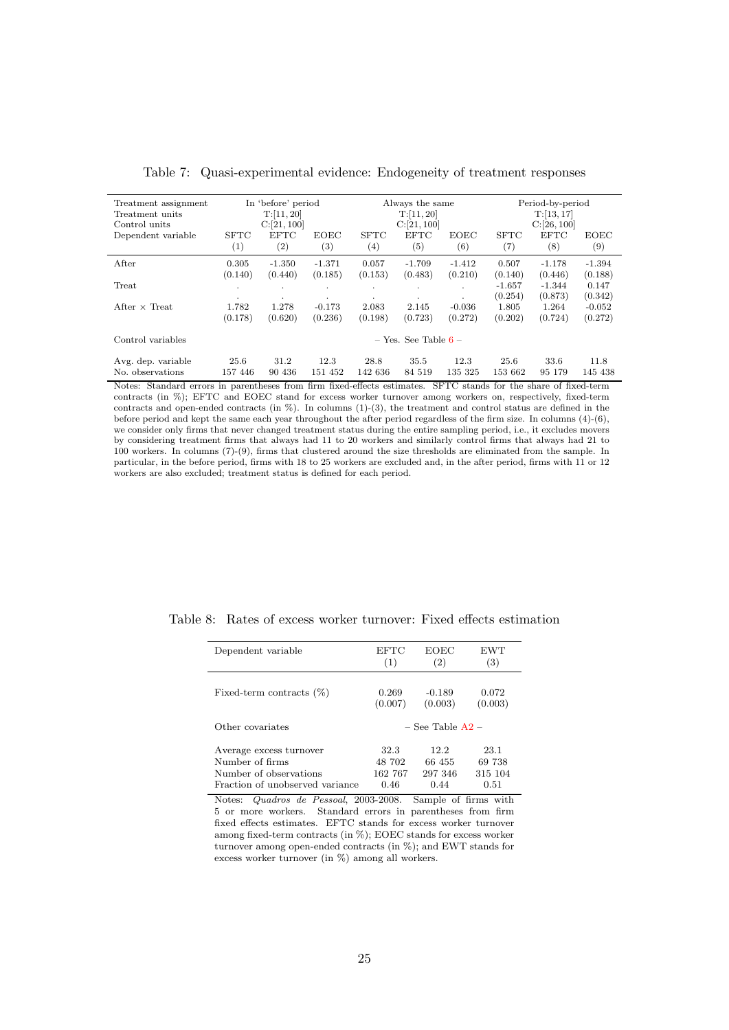<span id="page-24-0"></span>

| Treatment assignment<br>Treatment units<br>Control units |                         | In 'before' period<br>T:[11, 20]<br>C:[21,100] |                   | Always the same<br>T:[11, 20]<br>C:[21, 100] |             |             | Period-by-period<br>T:[13, 17]<br>C:[26, 100] |                     |                  |
|----------------------------------------------------------|-------------------------|------------------------------------------------|-------------------|----------------------------------------------|-------------|-------------|-----------------------------------------------|---------------------|------------------|
| Dependent variable                                       | <b>SFTC</b>             | <b>EFTC</b>                                    | <b>EOEC</b>       | <b>SFTC</b>                                  | <b>EFTC</b> | <b>EOEC</b> | <b>SFTC</b>                                   | <b>EFTC</b>         | <b>EOEC</b>      |
|                                                          | (1)                     | (2)                                            | $\left( 3\right)$ | (4)                                          | (5)         | (6)         | (7)                                           | (8)                 | (9)              |
| After                                                    | 0.305                   | $-1.350$                                       | $-1.371$          | 0.057                                        | $-1.709$    | $-1.412$    | 0.507                                         | $-1.178$            | $-1.394$         |
|                                                          | (0.140)                 | (0.440)                                        | (0.185)           | (0.153)                                      | (0.483)     | (0.210)     | (0.140)                                       | (0.446)             | (0.188)          |
| Treat                                                    | $\cdot$<br>٠            | ٠<br>٠                                         |                   |                                              | $\cdot$     |             | $-1.657$<br>(0.254)                           | $-1.344$<br>(0.873) | 0.147<br>(0.342) |
| After $\times$ Treat                                     | 1.782                   | 1.278                                          | $-0.173$          | 2.083                                        | 2.145       | $-0.036$    | 1.805                                         | 1.264               | $-0.052$         |
|                                                          | (0.178)                 | (0.620)                                        | (0.236)           | (0.198)                                      | (0.723)     | (0.272)     | (0.202)                                       | (0.724)             | (0.272)          |
| Control variables                                        | $-$ Yes. See Table $6-$ |                                                |                   |                                              |             |             |                                               |                     |                  |
| Avg. dep. variable                                       | 25.6                    | 31.2                                           | 12.3              | 28.8                                         | 35.5        | 12.3        | 25.6                                          | 33.6                | 11.8             |
| No. observations                                         | 157 446                 | 90 436                                         | 151 452           | 142 636                                      | 84 519      | 135 325     | 153 662                                       | 95 179              | 145 438          |

Table 7: Quasi-experimental evidence: Endogeneity of treatment responses

Notes: Standard errors in parentheses from firm fixed-effects estimates. SFTC stands for the share of fixed-term contracts (in %); EFTC and EOEC stand for excess worker turnover among workers on, respectively, fixed-term contracts and open-ended contracts (in %). In columns (1)-(3), the treatment and control status are defined in the before period and kept the same each year throughout the after period regardless of the firm size. In columns (4)-(6), we consider only firms that never changed treatment status during the entire sampling period, i.e., it excludes movers by considering treatment firms that always had 11 to 20 workers and similarly control firms that always had 21 to 100 workers. In columns (7)-(9), firms that clustered around the size thresholds are eliminated from the sample. In particular, in the before period, firms with 18 to 25 workers are excluded and, in the after period, firms with 11 or 12 workers are also excluded; treatment status is defined for each period.

| Dependent variable              | <b>EFTC</b>          | EOEC     | EWT     |  |  |
|---------------------------------|----------------------|----------|---------|--|--|
|                                 | (1)                  | (2)      | (3)     |  |  |
| Fixed-term contracts $(\%)$     | 0.269                | $-0.189$ | 0.072   |  |  |
|                                 | (0.007)              | (0.003)  | (0.003) |  |  |
| Other covariates                | $-$ See Table $A2 -$ |          |         |  |  |
| Average excess turnover         | 32.3                 | 12.2.    | 23.1    |  |  |
| Number of firms                 | 48 702               | 66 455   | 69 738  |  |  |
| Number of observations          | 162 767              | 297 346  | 315 104 |  |  |
| Fraction of unobserved variance | 0.46                 | 0.44     | 0.51    |  |  |

<span id="page-24-1"></span>Table 8: Rates of excess worker turnover: Fixed effects estimation

Notes: Quadros de Pessoal, 2003-2008. Sample of firms with 5 or more workers. Standard errors in parentheses from firm fixed effects estimates. EFTC stands for excess worker turnover among fixed-term contracts (in %); EOEC stands for excess worker turnover among open-ended contracts (in %); and EWT stands for excess worker turnover (in %) among all workers.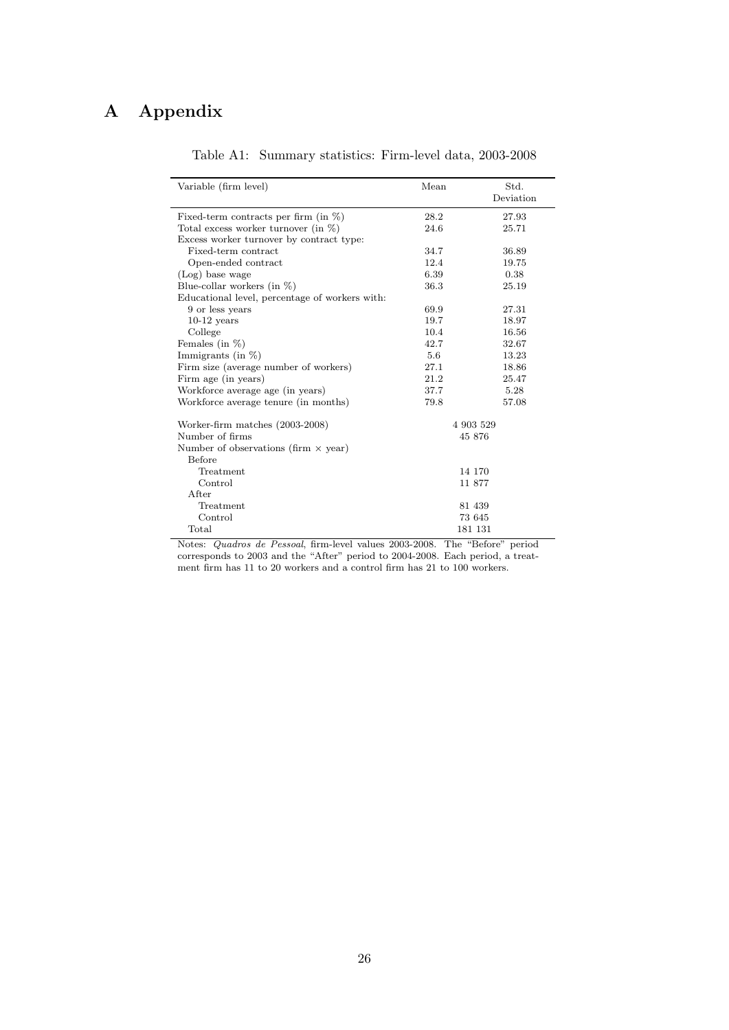# <span id="page-25-0"></span>A Appendix

| Variable (firm level)                          | Mean | Std.      |
|------------------------------------------------|------|-----------|
|                                                |      | Deviation |
| Fixed-term contracts per firm (in $\%$ )       | 28.2 | 27.93     |
| Total excess worker turnover (in $\%$ )        | 24.6 | 25.71     |
| Excess worker turnover by contract type:       |      |           |
| Fixed-term contract                            | 34.7 | 36.89     |
| Open-ended contract                            | 12.4 | 19.75     |
| (Log) base wage                                | 6.39 | 0.38      |
| Blue-collar workers (in $\%$ )                 | 36.3 | 25.19     |
| Educational level, percentage of workers with: |      |           |
| 9 or less years                                | 69.9 | 27.31     |
| $10-12$ years                                  | 19.7 | 18.97     |
| College                                        | 10.4 | 16.56     |
| Females (in $\%$ )                             | 42.7 | 32.67     |
| Immigrants (in $%$ )                           | 5.6  | 13.23     |
| Firm size (average number of workers)          | 27.1 | 18.86     |
| Firm age (in years)                            | 21.2 | 25.47     |
| Workforce average age (in years)               | 37.7 | 5.28      |
| Workforce average tenure (in months)           | 79.8 | 57.08     |
| Worker-firm matches (2003-2008)                |      | 4 903 529 |
| Number of firms                                |      | 45 876    |
| Number of observations (firm $\times$ year)    |      |           |
| <b>Before</b>                                  |      |           |
| Treatment                                      |      | 14 170    |
| Control                                        |      | 11 877    |
| After                                          |      |           |
| Treatment                                      |      | 81 439    |
| Control                                        |      | 73 645    |
| Total                                          |      | 181 131   |
|                                                |      |           |

## Table A1: Summary statistics: Firm-level data, 2003-2008

Notes: Quadros de Pessoal, firm-level values 2003-2008. The "Before" period corresponds to 2003 and the "After" period to 2004-2008. Each period, a treatment firm has 11 to 20 workers and a control firm has 21 to 100 workers.